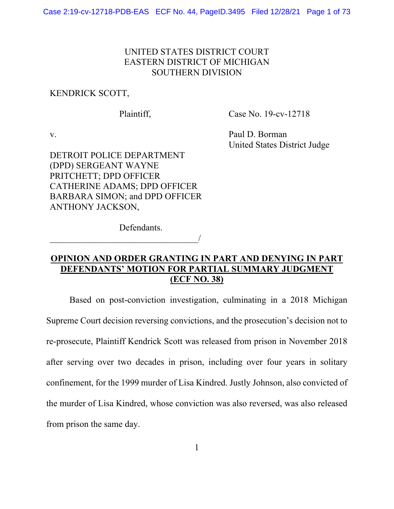# UNITED STATES DISTRICT COURT EASTERN DISTRICT OF MICHIGAN SOUTHERN DIVISION

#### KENDRICK SCOTT,

Plaintiff,

Case No. 19-cv-12718

v.

Paul D. Borman United States District Judge

DETROIT POLICE DEPARTMENT (DPD) SERGEANT WAYNE PRITCHETT; DPD OFFICER CATHERINE ADAMS; DPD OFFICER BARBARA SIMON; and DPD OFFICER ANTHONY JACKSON,

 $\overline{\phantom{a}}$ 

Defendants.

# **OPINION AND ORDER GRANTING IN PART AND DENYING IN PART DEFENDANTS' MOTION FOR PARTIAL SUMMARY JUDGMENT (ECF NO. 38)**

Based on post-conviction investigation, culminating in a 2018 Michigan Supreme Court decision reversing convictions, and the prosecution's decision not to re-prosecute, Plaintiff Kendrick Scott was released from prison in November 2018 after serving over two decades in prison, including over four years in solitary confinement, for the 1999 murder of Lisa Kindred. Justly Johnson, also convicted of the murder of Lisa Kindred, whose conviction was also reversed, was also released from prison the same day.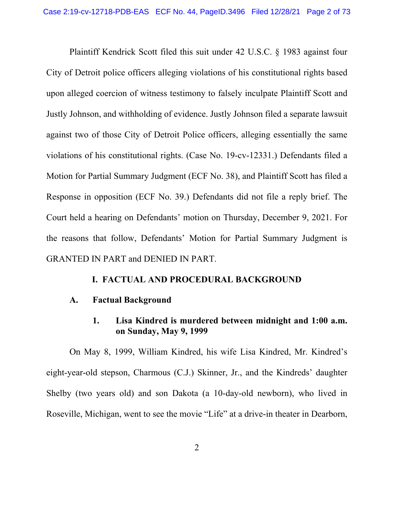Plaintiff Kendrick Scott filed this suit under 42 U.S.C. § 1983 against four City of Detroit police officers alleging violations of his constitutional rights based upon alleged coercion of witness testimony to falsely inculpate Plaintiff Scott and Justly Johnson, and withholding of evidence. Justly Johnson filed a separate lawsuit against two of those City of Detroit Police officers, alleging essentially the same violations of his constitutional rights. (Case No. 19-cv-12331.) Defendants filed a Motion for Partial Summary Judgment (ECF No. 38), and Plaintiff Scott has filed a Response in opposition (ECF No. 39.) Defendants did not file a reply brief. The Court held a hearing on Defendants' motion on Thursday, December 9, 2021. For the reasons that follow, Defendants' Motion for Partial Summary Judgment is GRANTED IN PART and DENIED IN PART.

### **I. FACTUAL AND PROCEDURAL BACKGROUND**

#### **A. Factual Background**

# **1. Lisa Kindred is murdered between midnight and 1:00 a.m. on Sunday, May 9, 1999**

On May 8, 1999, William Kindred, his wife Lisa Kindred, Mr. Kindred's eight-year-old stepson, Charmous (C.J.) Skinner, Jr., and the Kindreds' daughter Shelby (two years old) and son Dakota (a 10-day-old newborn), who lived in Roseville, Michigan, went to see the movie "Life" at a drive-in theater in Dearborn,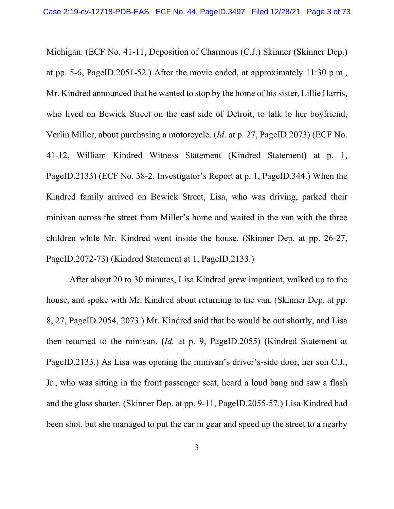Michigan. (ECF No. 41-11, Deposition of Charmous (C.J.) Skinner (Skinner Dep.) at pp. 5-6, PageID.2051-52.) After the movie ended, at approximately 11:30 p.m., Mr. Kindred announced that he wanted to stop by the home of his sister, Lillie Harris, who lived on Bewick Street on the east side of Detroit, to talk to her boyfriend, Verlin Miller, about purchasing a motorcycle. (*Id*. at p. 27, PageID.2073) (ECF No. 41-12, William Kindred Witness Statement (Kindred Statement) at p. 1, PageID.2133) (ECF No. 38-2, Investigator's Report at p. 1, PageID.344.) When the Kindred family arrived on Bewick Street, Lisa, who was driving, parked their minivan across the street from Miller's home and waited in the van with the three children while Mr. Kindred went inside the house. (Skinner Dep. at pp. 26-27, PageID.2072-73) (Kindred Statement at 1, PageID.2133.)

After about 20 to 30 minutes, Lisa Kindred grew impatient, walked up to the house, and spoke with Mr. Kindred about returning to the van. (Skinner Dep. at pp. 8, 27, PageID.2054, 2073.) Mr. Kindred said that he would be out shortly, and Lisa then returned to the minivan. (*Id.* at p. 9, PageID.2055) (Kindred Statement at PageID.2133.) As Lisa was opening the minivan's driver's-side door, her son C.J., Jr., who was sitting in the front passenger seat, heard a loud bang and saw a flash and the glass shatter. (Skinner Dep. at pp. 9-11, PageID.2055-57.) Lisa Kindred had been shot, but she managed to put the car in gear and speed up the street to a nearby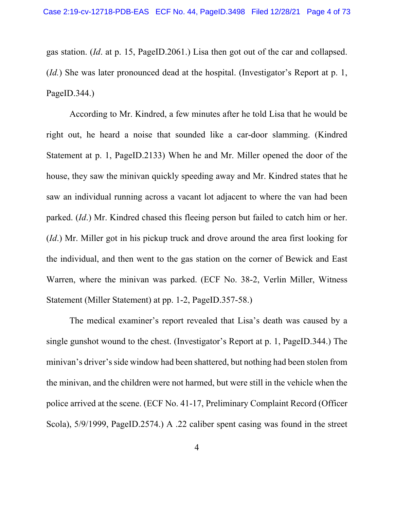gas station. (*Id*. at p. 15, PageID.2061.) Lisa then got out of the car and collapsed. (*Id.*) She was later pronounced dead at the hospital. (Investigator's Report at p. 1, PageID.344.)

According to Mr. Kindred, a few minutes after he told Lisa that he would be right out, he heard a noise that sounded like a car-door slamming. (Kindred Statement at p. 1, PageID.2133) When he and Mr. Miller opened the door of the house, they saw the minivan quickly speeding away and Mr. Kindred states that he saw an individual running across a vacant lot adjacent to where the van had been parked. (*Id*.) Mr. Kindred chased this fleeing person but failed to catch him or her. (*Id*.) Mr. Miller got in his pickup truck and drove around the area first looking for the individual, and then went to the gas station on the corner of Bewick and East Warren, where the minivan was parked. (ECF No. 38-2, Verlin Miller, Witness Statement (Miller Statement) at pp. 1-2, PageID.357-58.)

The medical examiner's report revealed that Lisa's death was caused by a single gunshot wound to the chest. (Investigator's Report at p. 1, PageID.344.) The minivan's driver's side window had been shattered, but nothing had been stolen from the minivan, and the children were not harmed, but were still in the vehicle when the police arrived at the scene. (ECF No. 41-17, Preliminary Complaint Record (Officer Scola), 5/9/1999, PageID.2574.) A .22 caliber spent casing was found in the street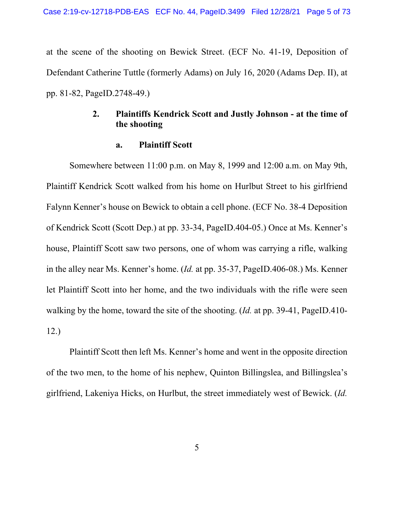at the scene of the shooting on Bewick Street. (ECF No. 41-19, Deposition of Defendant Catherine Tuttle (formerly Adams) on July 16, 2020 (Adams Dep. II), at pp. 81-82, PageID.2748-49.)

# **2. Plaintiffs Kendrick Scott and Justly Johnson - at the time of the shooting**

#### **a. Plaintiff Scott**

Somewhere between 11:00 p.m. on May 8, 1999 and 12:00 a.m. on May 9th, Plaintiff Kendrick Scott walked from his home on Hurlbut Street to his girlfriend Falynn Kenner's house on Bewick to obtain a cell phone. (ECF No. 38-4 Deposition of Kendrick Scott (Scott Dep.) at pp. 33-34, PageID.404-05.) Once at Ms. Kenner's house, Plaintiff Scott saw two persons, one of whom was carrying a rifle, walking in the alley near Ms. Kenner's home. (*Id.* at pp. 35-37, PageID.406-08.) Ms. Kenner let Plaintiff Scott into her home, and the two individuals with the rifle were seen walking by the home, toward the site of the shooting. (*Id.* at pp. 39-41, PageID.410- 12.)

Plaintiff Scott then left Ms. Kenner's home and went in the opposite direction of the two men, to the home of his nephew, Quinton Billingslea, and Billingslea's girlfriend, Lakeniya Hicks, on Hurlbut, the street immediately west of Bewick. (*Id.*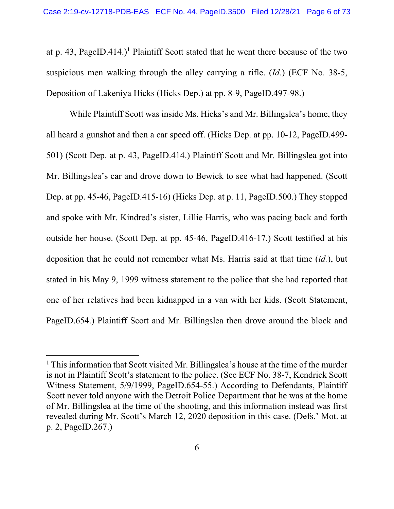at p. 43, PageID.414.)<sup>1</sup> Plaintiff Scott stated that he went there because of the two suspicious men walking through the alley carrying a rifle. (*Id.*) (ECF No. 38-5, Deposition of Lakeniya Hicks (Hicks Dep.) at pp. 8-9, PageID.497-98.)

While Plaintiff Scott was inside Ms. Hicks's and Mr. Billingslea's home, they all heard a gunshot and then a car speed off. (Hicks Dep. at pp. 10-12, PageID.499- 501) (Scott Dep. at p. 43, PageID.414.) Plaintiff Scott and Mr. Billingslea got into Mr. Billingslea's car and drove down to Bewick to see what had happened. (Scott Dep. at pp. 45-46, PageID.415-16) (Hicks Dep. at p. 11, PageID.500.) They stopped and spoke with Mr. Kindred's sister, Lillie Harris, who was pacing back and forth outside her house. (Scott Dep. at pp. 45-46, PageID.416-17.) Scott testified at his deposition that he could not remember what Ms. Harris said at that time (*id.*), but stated in his May 9, 1999 witness statement to the police that she had reported that one of her relatives had been kidnapped in a van with her kids. (Scott Statement, PageID.654.) Plaintiff Scott and Mr. Billingslea then drove around the block and

<sup>&</sup>lt;sup>1</sup> This information that Scott visited Mr. Billingslea's house at the time of the murder is not in Plaintiff Scott's statement to the police. (See ECF No. 38-7, Kendrick Scott Witness Statement, 5/9/1999, PageID.654-55.) According to Defendants, Plaintiff Scott never told anyone with the Detroit Police Department that he was at the home of Mr. Billingslea at the time of the shooting, and this information instead was first revealed during Mr. Scott's March 12, 2020 deposition in this case. (Defs.' Mot. at p. 2, PageID.267.)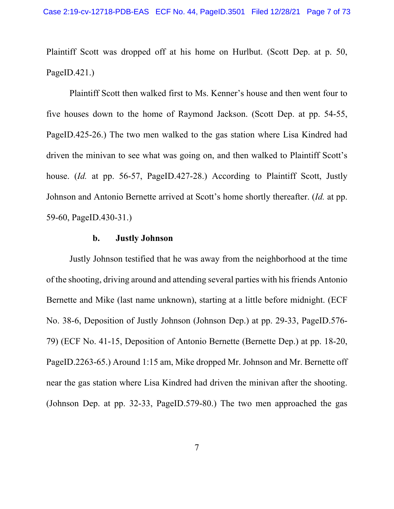Plaintiff Scott was dropped off at his home on Hurlbut. (Scott Dep. at p. 50, PageID. $421$ .)

Plaintiff Scott then walked first to Ms. Kenner's house and then went four to five houses down to the home of Raymond Jackson. (Scott Dep. at pp. 54-55, PageID.425-26.) The two men walked to the gas station where Lisa Kindred had driven the minivan to see what was going on, and then walked to Plaintiff Scott's house. (*Id.* at pp. 56-57, PageID.427-28.) According to Plaintiff Scott, Justly Johnson and Antonio Bernette arrived at Scott's home shortly thereafter. (*Id.* at pp. 59-60, PageID.430-31.)

#### **b. Justly Johnson**

Justly Johnson testified that he was away from the neighborhood at the time of the shooting, driving around and attending several parties with his friends Antonio Bernette and Mike (last name unknown), starting at a little before midnight. (ECF No. 38-6, Deposition of Justly Johnson (Johnson Dep.) at pp. 29-33, PageID.576- 79) (ECF No. 41-15, Deposition of Antonio Bernette (Bernette Dep.) at pp. 18-20, PageID.2263-65.) Around 1:15 am, Mike dropped Mr. Johnson and Mr. Bernette off near the gas station where Lisa Kindred had driven the minivan after the shooting. (Johnson Dep. at pp. 32-33, PageID.579-80.) The two men approached the gas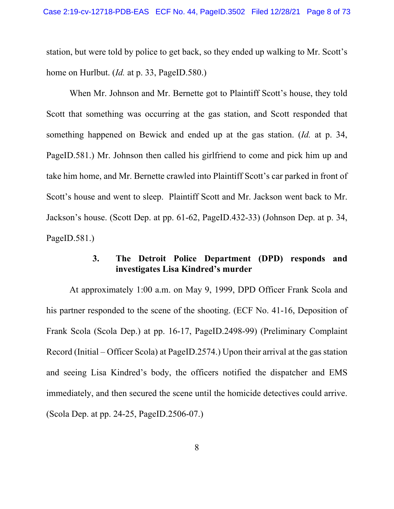station, but were told by police to get back, so they ended up walking to Mr. Scott's home on Hurlbut. (*Id.* at p. 33, PageID.580.)

When Mr. Johnson and Mr. Bernette got to Plaintiff Scott's house, they told Scott that something was occurring at the gas station, and Scott responded that something happened on Bewick and ended up at the gas station. (*Id.* at p. 34, PageID.581.) Mr. Johnson then called his girlfriend to come and pick him up and take him home, and Mr. Bernette crawled into Plaintiff Scott's car parked in front of Scott's house and went to sleep. Plaintiff Scott and Mr. Jackson went back to Mr. Jackson's house. (Scott Dep. at pp. 61-62, PageID.432-33) (Johnson Dep. at p. 34, PageID.581.)

## **3. The Detroit Police Department (DPD) responds and investigates Lisa Kindred's murder**

At approximately 1:00 a.m. on May 9, 1999, DPD Officer Frank Scola and his partner responded to the scene of the shooting. (ECF No. 41-16, Deposition of Frank Scola (Scola Dep.) at pp. 16-17, PageID.2498-99) (Preliminary Complaint Record (Initial – Officer Scola) at PageID.2574.) Upon their arrival at the gas station and seeing Lisa Kindred's body, the officers notified the dispatcher and EMS immediately, and then secured the scene until the homicide detectives could arrive. (Scola Dep. at pp. 24-25, PageID.2506-07.)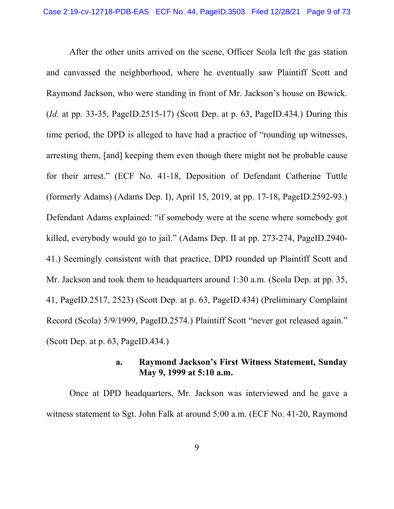After the other units arrived on the scene, Officer Scola left the gas station and canvassed the neighborhood, where he eventually saw Plaintiff Scott and Raymond Jackson, who were standing in front of Mr. Jackson's house on Bewick. (*Id*. at pp. 33-35, PageID.2515-17) (Scott Dep. at p. 63, PageID.434.) During this time period, the DPD is alleged to have had a practice of "rounding up witnesses, arresting them, [and] keeping them even though there might not be probable cause for their arrest." (ECF No. 41-18, Deposition of Defendant Catherine Tuttle (formerly Adams) (Adams Dep. I), April 15, 2019, at pp. 17-18, PageID.2592-93.) Defendant Adams explained: "if somebody were at the scene where somebody got killed, everybody would go to jail." (Adams Dep. II at pp. 273-274, PageID.2940- 41.) Seemingly consistent with that practice, DPD rounded up Plaintiff Scott and Mr. Jackson and took them to headquarters around 1:30 a.m. (Scola Dep. at pp. 35, 41, PageID.2517, 2523) (Scott Dep. at p. 63, PageID.434) (Preliminary Complaint Record (Scola) 5/9/1999, PageID.2574.) Plaintiff Scott "never got released again." (Scott Dep. at p. 63, PageID.434.)

# **a. Raymond Jackson's First Witness Statement, Sunday May 9, 1999 at 5:10 a.m.**

Once at DPD headquarters, Mr. Jackson was interviewed and he gave a witness statement to Sgt. John Falk at around 5:00 a.m. (ECF No. 41-20, Raymond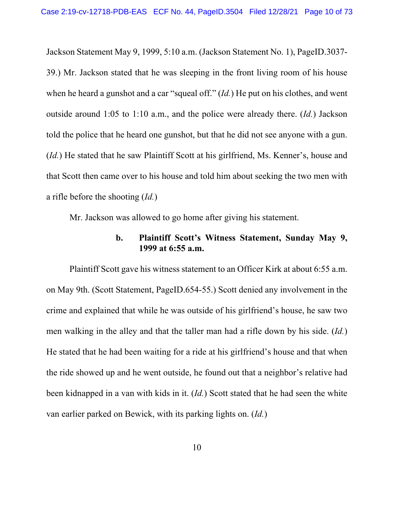Jackson Statement May 9, 1999, 5:10 a.m. (Jackson Statement No. 1), PageID.3037- 39.) Mr. Jackson stated that he was sleeping in the front living room of his house when he heard a gunshot and a car "squeal off." (*Id.*) He put on his clothes, and went outside around 1:05 to 1:10 a.m., and the police were already there. (*Id.*) Jackson told the police that he heard one gunshot, but that he did not see anyone with a gun. (*Id.*) He stated that he saw Plaintiff Scott at his girlfriend, Ms. Kenner's, house and that Scott then came over to his house and told him about seeking the two men with a rifle before the shooting (*Id.*)

Mr. Jackson was allowed to go home after giving his statement.

# **b. Plaintiff Scott's Witness Statement, Sunday May 9, 1999 at 6:55 a.m.**

Plaintiff Scott gave his witness statement to an Officer Kirk at about 6:55 a.m. on May 9th. (Scott Statement, PageID.654-55.) Scott denied any involvement in the crime and explained that while he was outside of his girlfriend's house, he saw two men walking in the alley and that the taller man had a rifle down by his side. (*Id.*) He stated that he had been waiting for a ride at his girlfriend's house and that when the ride showed up and he went outside, he found out that a neighbor's relative had been kidnapped in a van with kids in it. (*Id.*) Scott stated that he had seen the white van earlier parked on Bewick, with its parking lights on. (*Id.*)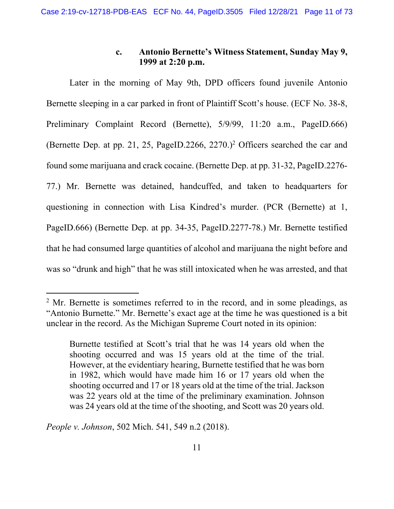# **c. Antonio Bernette's Witness Statement, Sunday May 9, 1999 at 2:20 p.m.**

Later in the morning of May 9th, DPD officers found juvenile Antonio Bernette sleeping in a car parked in front of Plaintiff Scott's house. (ECF No. 38-8, Preliminary Complaint Record (Bernette), 5/9/99, 11:20 a.m., PageID.666) (Bernette Dep. at pp. 21, 25, PageID.2266, 2270.)<sup>2</sup> Officers searched the car and found some marijuana and crack cocaine. (Bernette Dep. at pp. 31-32, PageID.2276- 77.) Mr. Bernette was detained, handcuffed, and taken to headquarters for questioning in connection with Lisa Kindred's murder. (PCR (Bernette) at 1, PageID.666) (Bernette Dep. at pp. 34-35, PageID.2277-78.) Mr. Bernette testified that he had consumed large quantities of alcohol and marijuana the night before and was so "drunk and high" that he was still intoxicated when he was arrested, and that

*People v. Johnson*, 502 Mich. 541, 549 n.2 (2018).

 $2^{\circ}$  Mr. Bernette is sometimes referred to in the record, and in some pleadings, as "Antonio Burnette." Mr. Bernette's exact age at the time he was questioned is a bit unclear in the record. As the Michigan Supreme Court noted in its opinion:

Burnette testified at Scott's trial that he was 14 years old when the shooting occurred and was 15 years old at the time of the trial. However, at the evidentiary hearing, Burnette testified that he was born in 1982, which would have made him 16 or 17 years old when the shooting occurred and 17 or 18 years old at the time of the trial. Jackson was 22 years old at the time of the preliminary examination. Johnson was 24 years old at the time of the shooting, and Scott was 20 years old.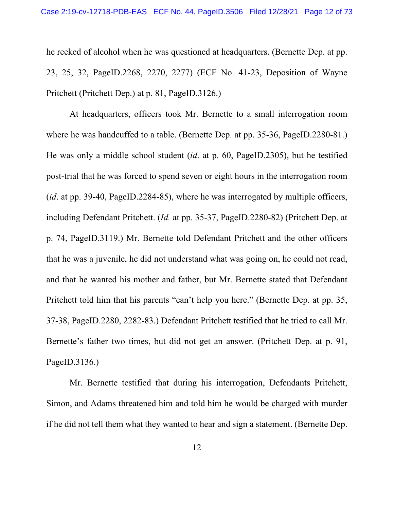he reeked of alcohol when he was questioned at headquarters. (Bernette Dep. at pp. 23, 25, 32, PageID.2268, 2270, 2277) (ECF No. 41-23, Deposition of Wayne Pritchett (Pritchett Dep.) at p. 81, PageID.3126.)

At headquarters, officers took Mr. Bernette to a small interrogation room where he was handcuffed to a table. (Bernette Dep. at pp. 35-36, PageID.2280-81.) He was only a middle school student (*id*. at p. 60, PageID.2305), but he testified post-trial that he was forced to spend seven or eight hours in the interrogation room (*id*. at pp. 39-40, PageID.2284-85), where he was interrogated by multiple officers, including Defendant Pritchett. (*Id.* at pp. 35-37, PageID.2280-82) (Pritchett Dep. at p. 74, PageID.3119.) Mr. Bernette told Defendant Pritchett and the other officers that he was a juvenile, he did not understand what was going on, he could not read, and that he wanted his mother and father, but Mr. Bernette stated that Defendant Pritchett told him that his parents "can't help you here." (Bernette Dep. at pp. 35, 37-38, PageID.2280, 2282-83.) Defendant Pritchett testified that he tried to call Mr. Bernette's father two times, but did not get an answer. (Pritchett Dep. at p. 91, PageID.3136.)

Mr. Bernette testified that during his interrogation, Defendants Pritchett, Simon, and Adams threatened him and told him he would be charged with murder if he did not tell them what they wanted to hear and sign a statement. (Bernette Dep.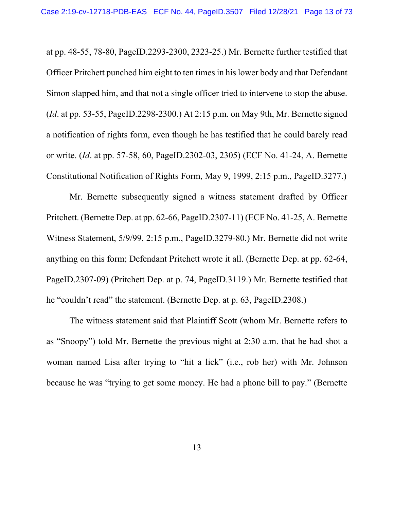at pp. 48-55, 78-80, PageID.2293-2300, 2323-25.) Mr. Bernette further testified that Officer Pritchett punched him eight to ten times in his lower body and that Defendant Simon slapped him, and that not a single officer tried to intervene to stop the abuse. (*Id*. at pp. 53-55, PageID.2298-2300.) At 2:15 p.m. on May 9th, Mr. Bernette signed a notification of rights form, even though he has testified that he could barely read or write. (*Id*. at pp. 57-58, 60, PageID.2302-03, 2305) (ECF No. 41-24, A. Bernette Constitutional Notification of Rights Form, May 9, 1999, 2:15 p.m., PageID.3277.)

Mr. Bernette subsequently signed a witness statement drafted by Officer Pritchett. (Bernette Dep. at pp. 62-66, PageID.2307-11) (ECF No. 41-25, A. Bernette Witness Statement, 5/9/99, 2:15 p.m., PageID.3279-80.) Mr. Bernette did not write anything on this form; Defendant Pritchett wrote it all. (Bernette Dep. at pp. 62-64, PageID.2307-09) (Pritchett Dep. at p. 74, PageID.3119.) Mr. Bernette testified that he "couldn't read" the statement. (Bernette Dep. at p. 63, PageID.2308.)

The witness statement said that Plaintiff Scott (whom Mr. Bernette refers to as "Snoopy") told Mr. Bernette the previous night at 2:30 a.m. that he had shot a woman named Lisa after trying to "hit a lick" (i.e., rob her) with Mr. Johnson because he was "trying to get some money. He had a phone bill to pay." (Bernette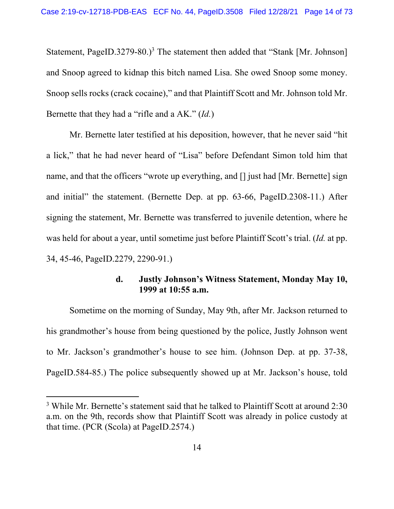Statement, PageID.3279-80.)<sup>3</sup> The statement then added that "Stank [Mr. Johnson] and Snoop agreed to kidnap this bitch named Lisa. She owed Snoop some money. Snoop sells rocks (crack cocaine)," and that Plaintiff Scott and Mr. Johnson told Mr. Bernette that they had a "rifle and a AK." (*Id.*)

Mr. Bernette later testified at his deposition, however, that he never said "hit a lick," that he had never heard of "Lisa" before Defendant Simon told him that name, and that the officers "wrote up everything, and [] just had [Mr. Bernette] sign and initial" the statement. (Bernette Dep. at pp. 63-66, PageID.2308-11.) After signing the statement, Mr. Bernette was transferred to juvenile detention, where he was held for about a year, until sometime just before Plaintiff Scott's trial. (*Id.* at pp. 34, 45-46, PageID.2279, 2290-91.)

# **d. Justly Johnson's Witness Statement, Monday May 10, 1999 at 10:55 a.m.**

Sometime on the morning of Sunday, May 9th, after Mr. Jackson returned to his grandmother's house from being questioned by the police, Justly Johnson went to Mr. Jackson's grandmother's house to see him. (Johnson Dep. at pp. 37-38, PageID.584-85.) The police subsequently showed up at Mr. Jackson's house, told

<sup>&</sup>lt;sup>3</sup> While Mr. Bernette's statement said that he talked to Plaintiff Scott at around 2:30 a.m. on the 9th, records show that Plaintiff Scott was already in police custody at that time. (PCR (Scola) at PageID.2574.)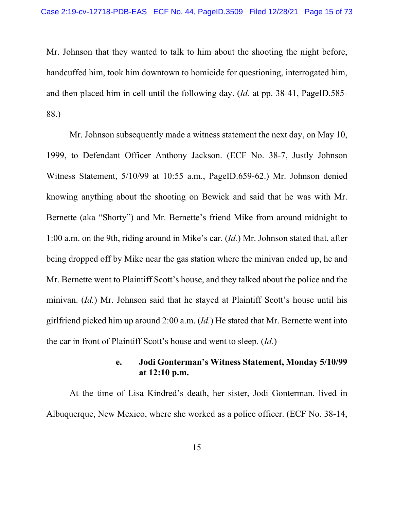Mr. Johnson that they wanted to talk to him about the shooting the night before, handcuffed him, took him downtown to homicide for questioning, interrogated him, and then placed him in cell until the following day. (*Id.* at pp. 38-41, PageID.585- 88.)

Mr. Johnson subsequently made a witness statement the next day, on May 10, 1999, to Defendant Officer Anthony Jackson. (ECF No. 38-7, Justly Johnson Witness Statement, 5/10/99 at 10:55 a.m., PageID.659-62.) Mr. Johnson denied knowing anything about the shooting on Bewick and said that he was with Mr. Bernette (aka "Shorty") and Mr. Bernette's friend Mike from around midnight to 1:00 a.m. on the 9th, riding around in Mike's car. (*Id.*) Mr. Johnson stated that, after being dropped off by Mike near the gas station where the minivan ended up, he and Mr. Bernette went to Plaintiff Scott's house, and they talked about the police and the minivan. (*Id.*) Mr. Johnson said that he stayed at Plaintiff Scott's house until his girlfriend picked him up around 2:00 a.m. (*Id.*) He stated that Mr. Bernette went into the car in front of Plaintiff Scott's house and went to sleep. (*Id.*)

# **e. Jodi Gonterman's Witness Statement, Monday 5/10/99 at 12:10 p.m.**

At the time of Lisa Kindred's death, her sister, Jodi Gonterman, lived in Albuquerque, New Mexico, where she worked as a police officer. (ECF No. 38-14,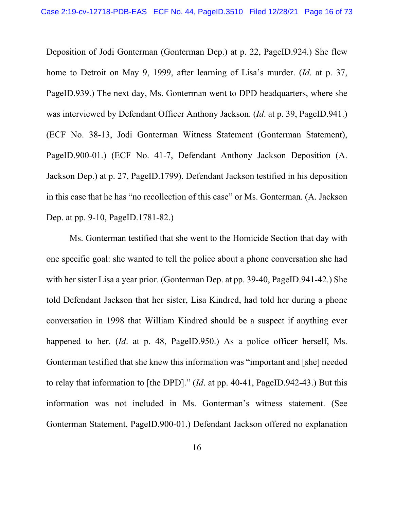Deposition of Jodi Gonterman (Gonterman Dep.) at p. 22, PageID.924.) She flew home to Detroit on May 9, 1999, after learning of Lisa's murder. (*Id*. at p. 37, PageID.939.) The next day, Ms. Gonterman went to DPD headquarters, where she was interviewed by Defendant Officer Anthony Jackson. (*Id*. at p. 39, PageID.941.) (ECF No. 38-13, Jodi Gonterman Witness Statement (Gonterman Statement), PageID.900-01.) (ECF No. 41-7, Defendant Anthony Jackson Deposition (A. Jackson Dep.) at p. 27, PageID.1799). Defendant Jackson testified in his deposition in this case that he has "no recollection of this case" or Ms. Gonterman. (A. Jackson Dep. at pp. 9-10, PageID.1781-82.)

Ms. Gonterman testified that she went to the Homicide Section that day with one specific goal: she wanted to tell the police about a phone conversation she had with her sister Lisa a year prior. (Gonterman Dep. at pp. 39-40, PageID.941-42.) She told Defendant Jackson that her sister, Lisa Kindred, had told her during a phone conversation in 1998 that William Kindred should be a suspect if anything ever happened to her. (*Id*. at p. 48, PageID.950.) As a police officer herself, Ms. Gonterman testified that she knew this information was "important and [she] needed to relay that information to [the DPD]." (*Id*. at pp. 40-41, PageID.942-43.) But this information was not included in Ms. Gonterman's witness statement. (See Gonterman Statement, PageID.900-01.) Defendant Jackson offered no explanation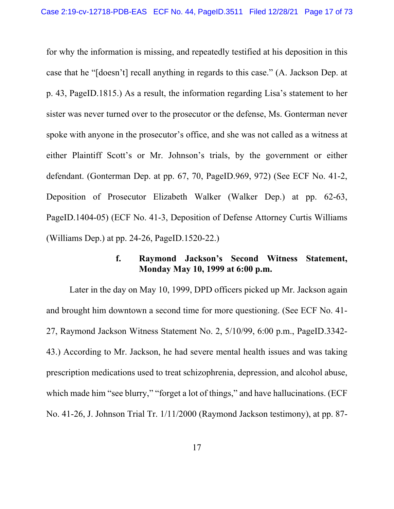for why the information is missing, and repeatedly testified at his deposition in this case that he "[doesn't] recall anything in regards to this case." (A. Jackson Dep. at p. 43, PageID.1815.) As a result, the information regarding Lisa's statement to her sister was never turned over to the prosecutor or the defense, Ms. Gonterman never spoke with anyone in the prosecutor's office, and she was not called as a witness at either Plaintiff Scott's or Mr. Johnson's trials, by the government or either defendant. (Gonterman Dep. at pp. 67, 70, PageID.969, 972) (See ECF No. 41-2, Deposition of Prosecutor Elizabeth Walker (Walker Dep.) at pp. 62-63, PageID.1404-05) (ECF No. 41-3, Deposition of Defense Attorney Curtis Williams (Williams Dep.) at pp. 24-26, PageID.1520-22.)

# **f. Raymond Jackson's Second Witness Statement, Monday May 10, 1999 at 6:00 p.m.**

Later in the day on May 10, 1999, DPD officers picked up Mr. Jackson again and brought him downtown a second time for more questioning. (See ECF No. 41- 27, Raymond Jackson Witness Statement No. 2, 5/10/99, 6:00 p.m., PageID.3342- 43.) According to Mr. Jackson, he had severe mental health issues and was taking prescription medications used to treat schizophrenia, depression, and alcohol abuse, which made him "see blurry," "forget a lot of things," and have hallucinations. (ECF No. 41-26, J. Johnson Trial Tr. 1/11/2000 (Raymond Jackson testimony), at pp. 87-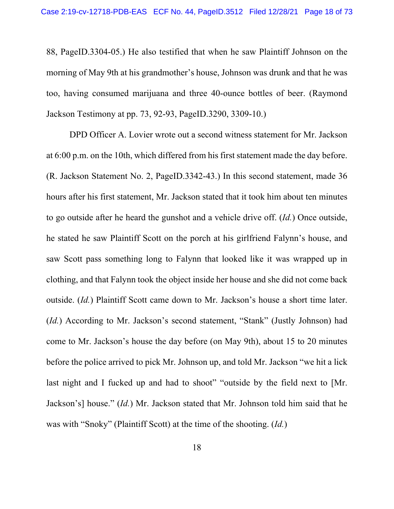88, PageID.3304-05.) He also testified that when he saw Plaintiff Johnson on the morning of May 9th at his grandmother's house, Johnson was drunk and that he was too, having consumed marijuana and three 40-ounce bottles of beer. (Raymond Jackson Testimony at pp. 73, 92-93, PageID.3290, 3309-10.)

DPD Officer A. Lovier wrote out a second witness statement for Mr. Jackson at 6:00 p.m. on the 10th, which differed from his first statement made the day before. (R. Jackson Statement No. 2, PageID.3342-43.) In this second statement, made 36 hours after his first statement, Mr. Jackson stated that it took him about ten minutes to go outside after he heard the gunshot and a vehicle drive off. (*Id.*) Once outside, he stated he saw Plaintiff Scott on the porch at his girlfriend Falynn's house, and saw Scott pass something long to Falynn that looked like it was wrapped up in clothing, and that Falynn took the object inside her house and she did not come back outside. (*Id.*) Plaintiff Scott came down to Mr. Jackson's house a short time later. (*Id.*) According to Mr. Jackson's second statement, "Stank" (Justly Johnson) had come to Mr. Jackson's house the day before (on May 9th), about 15 to 20 minutes before the police arrived to pick Mr. Johnson up, and told Mr. Jackson "we hit a lick last night and I fucked up and had to shoot" "outside by the field next to [Mr. Jackson's] house." (*Id.*) Mr. Jackson stated that Mr. Johnson told him said that he was with "Snoky" (Plaintiff Scott) at the time of the shooting. (*Id.*)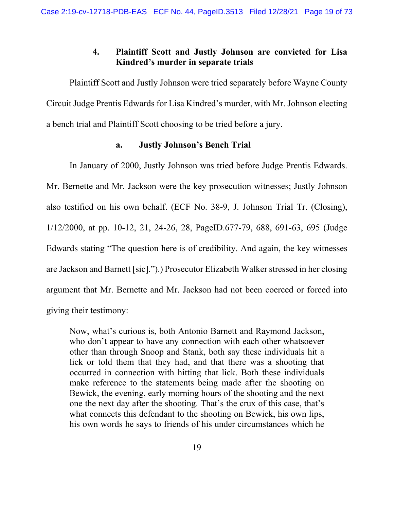# **4. Plaintiff Scott and Justly Johnson are convicted for Lisa Kindred's murder in separate trials**

Plaintiff Scott and Justly Johnson were tried separately before Wayne County Circuit Judge Prentis Edwards for Lisa Kindred's murder, with Mr. Johnson electing a bench trial and Plaintiff Scott choosing to be tried before a jury.

## **a. Justly Johnson's Bench Trial**

In January of 2000, Justly Johnson was tried before Judge Prentis Edwards. Mr. Bernette and Mr. Jackson were the key prosecution witnesses; Justly Johnson also testified on his own behalf. (ECF No. 38-9, J. Johnson Trial Tr. (Closing), 1/12/2000, at pp. 10-12, 21, 24-26, 28, PageID.677-79, 688, 691-63, 695 (Judge Edwards stating "The question here is of credibility. And again, the key witnesses are Jackson and Barnett [sic].").) Prosecutor Elizabeth Walker stressed in her closing argument that Mr. Bernette and Mr. Jackson had not been coerced or forced into giving their testimony:

Now, what's curious is, both Antonio Barnett and Raymond Jackson, who don't appear to have any connection with each other whatsoever other than through Snoop and Stank, both say these individuals hit a lick or told them that they had, and that there was a shooting that occurred in connection with hitting that lick. Both these individuals make reference to the statements being made after the shooting on Bewick, the evening, early morning hours of the shooting and the next one the next day after the shooting. That's the crux of this case, that's what connects this defendant to the shooting on Bewick, his own lips, his own words he says to friends of his under circumstances which he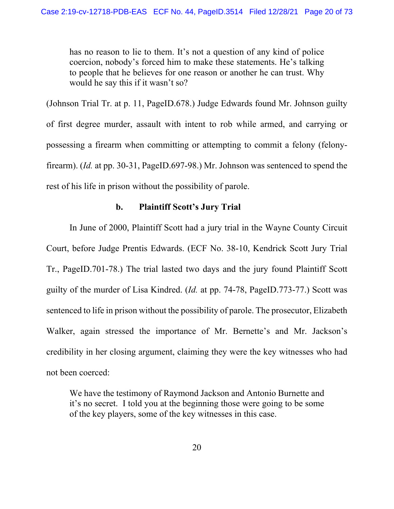has no reason to lie to them. It's not a question of any kind of police coercion, nobody's forced him to make these statements. He's talking to people that he believes for one reason or another he can trust. Why would he say this if it wasn't so?

(Johnson Trial Tr. at p. 11, PageID.678.) Judge Edwards found Mr. Johnson guilty of first degree murder, assault with intent to rob while armed, and carrying or possessing a firearm when committing or attempting to commit a felony (felonyfirearm). (*Id.* at pp. 30-31, PageID.697-98.) Mr. Johnson was sentenced to spend the rest of his life in prison without the possibility of parole.

## **b. Plaintiff Scott's Jury Trial**

In June of 2000, Plaintiff Scott had a jury trial in the Wayne County Circuit Court, before Judge Prentis Edwards. (ECF No. 38-10, Kendrick Scott Jury Trial Tr., PageID.701-78.) The trial lasted two days and the jury found Plaintiff Scott guilty of the murder of Lisa Kindred. (*Id.* at pp. 74-78, PageID.773-77.) Scott was sentenced to life in prison without the possibility of parole. The prosecutor, Elizabeth Walker, again stressed the importance of Mr. Bernette's and Mr. Jackson's credibility in her closing argument, claiming they were the key witnesses who had not been coerced:

We have the testimony of Raymond Jackson and Antonio Burnette and it's no secret. I told you at the beginning those were going to be some of the key players, some of the key witnesses in this case.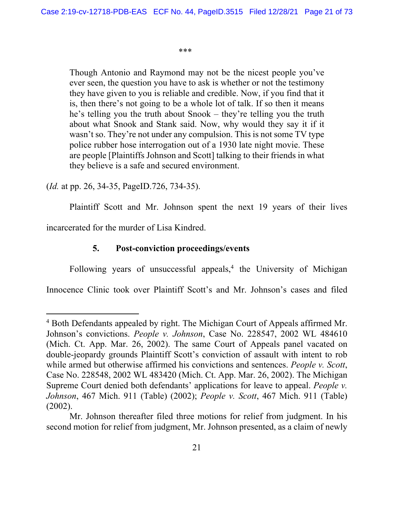#### \*\*\*

Though Antonio and Raymond may not be the nicest people you've ever seen, the question you have to ask is whether or not the testimony they have given to you is reliable and credible. Now, if you find that it is, then there's not going to be a whole lot of talk. If so then it means he's telling you the truth about Snook – they're telling you the truth about what Snook and Stank said. Now, why would they say it if it wasn't so. They're not under any compulsion. This is not some TV type police rubber hose interrogation out of a 1930 late night movie. These are people [Plaintiffs Johnson and Scott] talking to their friends in what they believe is a safe and secured environment.

(*Id.* at pp. 26, 34-35, PageID.726, 734-35).

Plaintiff Scott and Mr. Johnson spent the next 19 years of their lives

incarcerated for the murder of Lisa Kindred.

# **5. Post-conviction proceedings/events**

Following years of unsuccessful appeals,<sup>4</sup> the University of Michigan

Innocence Clinic took over Plaintiff Scott's and Mr. Johnson's cases and filed

<sup>&</sup>lt;sup>4</sup> Both Defendants appealed by right. The Michigan Court of Appeals affirmed Mr. Johnson's convictions. *People v. Johnson*, Case No. 228547, 2002 WL 484610 (Mich. Ct. App. Mar. 26, 2002). The same Court of Appeals panel vacated on double-jeopardy grounds Plaintiff Scott's conviction of assault with intent to rob while armed but otherwise affirmed his convictions and sentences. *People v. Scott*, Case No. 228548, 2002 WL 483420 (Mich. Ct. App. Mar. 26, 2002). The Michigan Supreme Court denied both defendants' applications for leave to appeal. *People v. Johnson*, 467 Mich. 911 (Table) (2002); *People v. Scott*, 467 Mich. 911 (Table) (2002).

Mr. Johnson thereafter filed three motions for relief from judgment. In his second motion for relief from judgment, Mr. Johnson presented, as a claim of newly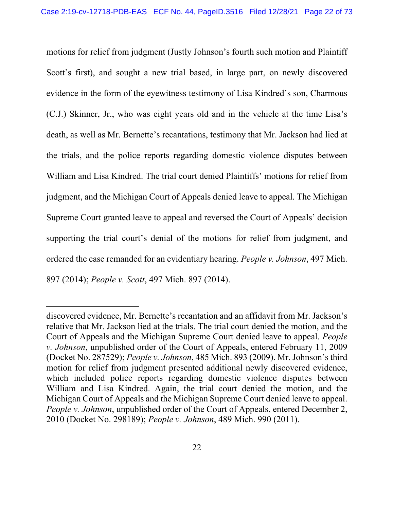motions for relief from judgment (Justly Johnson's fourth such motion and Plaintiff Scott's first), and sought a new trial based, in large part, on newly discovered evidence in the form of the eyewitness testimony of Lisa Kindred's son, Charmous (C.J.) Skinner, Jr., who was eight years old and in the vehicle at the time Lisa's death, as well as Mr. Bernette's recantations, testimony that Mr. Jackson had lied at the trials, and the police reports regarding domestic violence disputes between William and Lisa Kindred. The trial court denied Plaintiffs' motions for relief from judgment, and the Michigan Court of Appeals denied leave to appeal. The Michigan Supreme Court granted leave to appeal and reversed the Court of Appeals' decision supporting the trial court's denial of the motions for relief from judgment, and ordered the case remanded for an evidentiary hearing. *People v. Johnson*, 497 Mich. 897 (2014); *People v. Scott*, 497 Mich. 897 (2014).

discovered evidence, Mr. Bernette's recantation and an affidavit from Mr. Jackson's relative that Mr. Jackson lied at the trials. The trial court denied the motion, and the Court of Appeals and the Michigan Supreme Court denied leave to appeal. *People v. Johnson*, unpublished order of the Court of Appeals, entered February 11, 2009 (Docket No. 287529); *People v. Johnson*, 485 Mich. 893 (2009). Mr. Johnson's third motion for relief from judgment presented additional newly discovered evidence, which included police reports regarding domestic violence disputes between William and Lisa Kindred. Again, the trial court denied the motion, and the Michigan Court of Appeals and the Michigan Supreme Court denied leave to appeal. *People v. Johnson*, unpublished order of the Court of Appeals, entered December 2, 2010 (Docket No. 298189); *People v. Johnson*, 489 Mich. 990 (2011).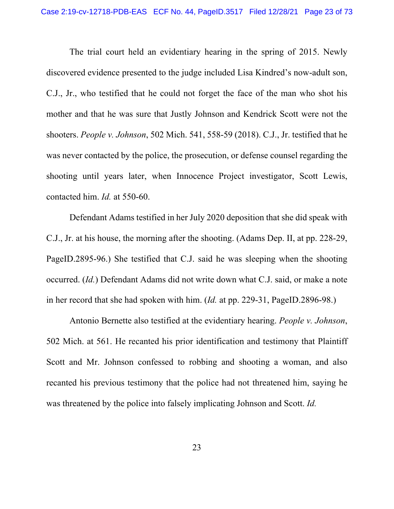The trial court held an evidentiary hearing in the spring of 2015. Newly discovered evidence presented to the judge included Lisa Kindred's now-adult son, C.J., Jr., who testified that he could not forget the face of the man who shot his mother and that he was sure that Justly Johnson and Kendrick Scott were not the shooters. *People v. Johnson*, 502 Mich. 541, 558-59 (2018). C.J., Jr. testified that he was never contacted by the police, the prosecution, or defense counsel regarding the shooting until years later, when Innocence Project investigator, Scott Lewis, contacted him. *Id.* at 550-60.

Defendant Adams testified in her July 2020 deposition that she did speak with C.J., Jr. at his house, the morning after the shooting. (Adams Dep. II, at pp. 228-29, PageID.2895-96.) She testified that C.J. said he was sleeping when the shooting occurred. (*Id.*) Defendant Adams did not write down what C.J. said, or make a note in her record that she had spoken with him. (*Id.* at pp. 229-31, PageID.2896-98.)

Antonio Bernette also testified at the evidentiary hearing. *People v. Johnson*, 502 Mich. at 561. He recanted his prior identification and testimony that Plaintiff Scott and Mr. Johnson confessed to robbing and shooting a woman, and also recanted his previous testimony that the police had not threatened him, saying he was threatened by the police into falsely implicating Johnson and Scott. *Id.*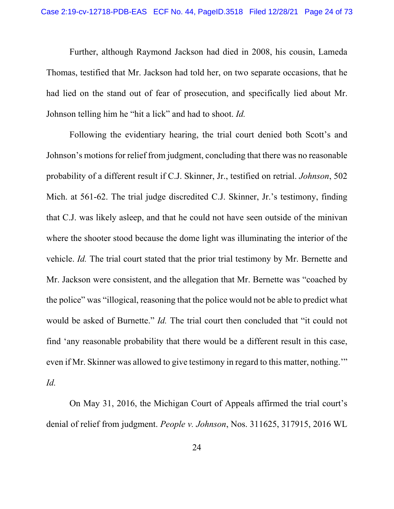Further, although Raymond Jackson had died in 2008, his cousin, Lameda Thomas, testified that Mr. Jackson had told her, on two separate occasions, that he had lied on the stand out of fear of prosecution, and specifically lied about Mr. Johnson telling him he "hit a lick" and had to shoot. *Id.*

Following the evidentiary hearing, the trial court denied both Scott's and Johnson's motions for relief from judgment, concluding that there was no reasonable probability of a different result if C.J. Skinner, Jr., testified on retrial. *Johnson*, 502 Mich. at 561-62. The trial judge discredited C.J. Skinner, Jr.'s testimony, finding that C.J. was likely asleep, and that he could not have seen outside of the minivan where the shooter stood because the dome light was illuminating the interior of the vehicle. *Id.* The trial court stated that the prior trial testimony by Mr. Bernette and Mr. Jackson were consistent, and the allegation that Mr. Bernette was "coached by the police" was "illogical, reasoning that the police would not be able to predict what would be asked of Burnette." *Id.* The trial court then concluded that "it could not find 'any reasonable probability that there would be a different result in this case, even if Mr. Skinner was allowed to give testimony in regard to this matter, nothing.'" *Id.*

On May 31, 2016, the Michigan Court of Appeals affirmed the trial court's denial of relief from judgment. *People v. Johnson*, Nos. 311625, 317915, 2016 WL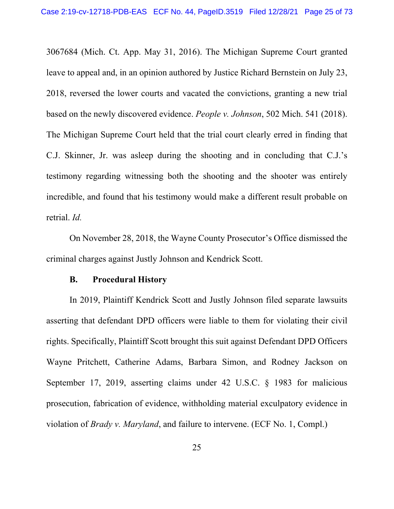3067684 (Mich. Ct. App. May 31, 2016). The Michigan Supreme Court granted leave to appeal and, in an opinion authored by Justice Richard Bernstein on July 23, 2018, reversed the lower courts and vacated the convictions, granting a new trial based on the newly discovered evidence. *People v. Johnson*, 502 Mich. 541 (2018). The Michigan Supreme Court held that the trial court clearly erred in finding that C.J. Skinner, Jr. was asleep during the shooting and in concluding that C.J.'s testimony regarding witnessing both the shooting and the shooter was entirely incredible, and found that his testimony would make a different result probable on retrial. *Id.*

On November 28, 2018, the Wayne County Prosecutor's Office dismissed the criminal charges against Justly Johnson and Kendrick Scott.

#### **B. Procedural History**

 In 2019, Plaintiff Kendrick Scott and Justly Johnson filed separate lawsuits asserting that defendant DPD officers were liable to them for violating their civil rights. Specifically, Plaintiff Scott brought this suit against Defendant DPD Officers Wayne Pritchett, Catherine Adams, Barbara Simon, and Rodney Jackson on September 17, 2019, asserting claims under 42 U.S.C. § 1983 for malicious prosecution, fabrication of evidence, withholding material exculpatory evidence in violation of *Brady v. Maryland*, and failure to intervene. (ECF No. 1, Compl.)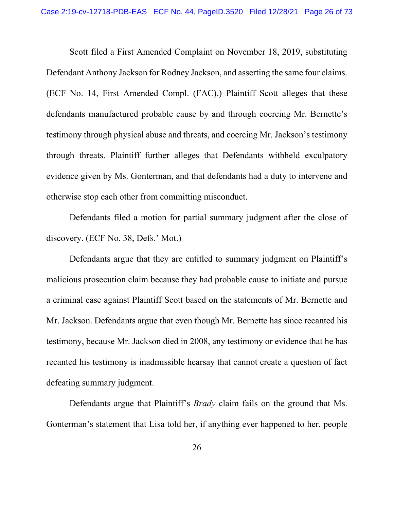Scott filed a First Amended Complaint on November 18, 2019, substituting Defendant Anthony Jackson for Rodney Jackson, and asserting the same four claims. (ECF No. 14, First Amended Compl. (FAC).) Plaintiff Scott alleges that these defendants manufactured probable cause by and through coercing Mr. Bernette's testimony through physical abuse and threats, and coercing Mr. Jackson's testimony through threats. Plaintiff further alleges that Defendants withheld exculpatory evidence given by Ms. Gonterman, and that defendants had a duty to intervene and otherwise stop each other from committing misconduct.

Defendants filed a motion for partial summary judgment after the close of discovery. (ECF No. 38, Defs.' Mot.)

Defendants argue that they are entitled to summary judgment on Plaintiff's malicious prosecution claim because they had probable cause to initiate and pursue a criminal case against Plaintiff Scott based on the statements of Mr. Bernette and Mr. Jackson. Defendants argue that even though Mr. Bernette has since recanted his testimony, because Mr. Jackson died in 2008, any testimony or evidence that he has recanted his testimony is inadmissible hearsay that cannot create a question of fact defeating summary judgment.

Defendants argue that Plaintiff's *Brady* claim fails on the ground that Ms. Gonterman's statement that Lisa told her, if anything ever happened to her, people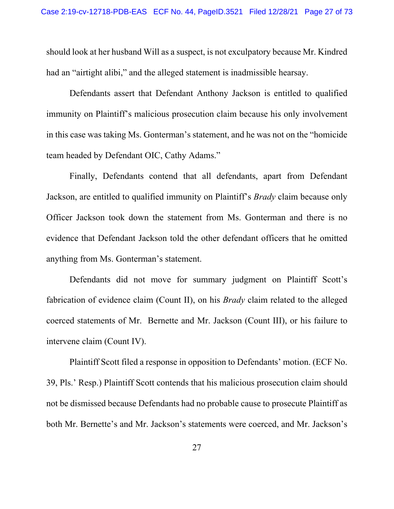should look at her husband Will as a suspect, is not exculpatory because Mr. Kindred had an "airtight alibi," and the alleged statement is inadmissible hearsay.

Defendants assert that Defendant Anthony Jackson is entitled to qualified immunity on Plaintiff's malicious prosecution claim because his only involvement in this case was taking Ms. Gonterman's statement, and he was not on the "homicide team headed by Defendant OIC, Cathy Adams."

Finally, Defendants contend that all defendants, apart from Defendant Jackson, are entitled to qualified immunity on Plaintiff's *Brady* claim because only Officer Jackson took down the statement from Ms. Gonterman and there is no evidence that Defendant Jackson told the other defendant officers that he omitted anything from Ms. Gonterman's statement.

Defendants did not move for summary judgment on Plaintiff Scott's fabrication of evidence claim (Count II), on his *Brady* claim related to the alleged coerced statements of Mr. Bernette and Mr. Jackson (Count III), or his failure to intervene claim (Count IV).

Plaintiff Scott filed a response in opposition to Defendants' motion. (ECF No. 39, Pls.' Resp.) Plaintiff Scott contends that his malicious prosecution claim should not be dismissed because Defendants had no probable cause to prosecute Plaintiff as both Mr. Bernette's and Mr. Jackson's statements were coerced, and Mr. Jackson's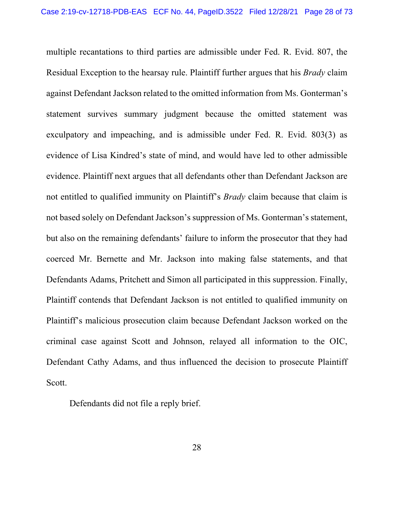multiple recantations to third parties are admissible under Fed. R. Evid. 807, the Residual Exception to the hearsay rule. Plaintiff further argues that his *Brady* claim against Defendant Jackson related to the omitted information from Ms. Gonterman's statement survives summary judgment because the omitted statement was exculpatory and impeaching, and is admissible under Fed. R. Evid. 803(3) as evidence of Lisa Kindred's state of mind, and would have led to other admissible evidence. Plaintiff next argues that all defendants other than Defendant Jackson are not entitled to qualified immunity on Plaintiff's *Brady* claim because that claim is not based solely on Defendant Jackson's suppression of Ms. Gonterman's statement, but also on the remaining defendants' failure to inform the prosecutor that they had coerced Mr. Bernette and Mr. Jackson into making false statements, and that Defendants Adams, Pritchett and Simon all participated in this suppression. Finally, Plaintiff contends that Defendant Jackson is not entitled to qualified immunity on Plaintiff's malicious prosecution claim because Defendant Jackson worked on the criminal case against Scott and Johnson, relayed all information to the OIC, Defendant Cathy Adams, and thus influenced the decision to prosecute Plaintiff Scott.

Defendants did not file a reply brief.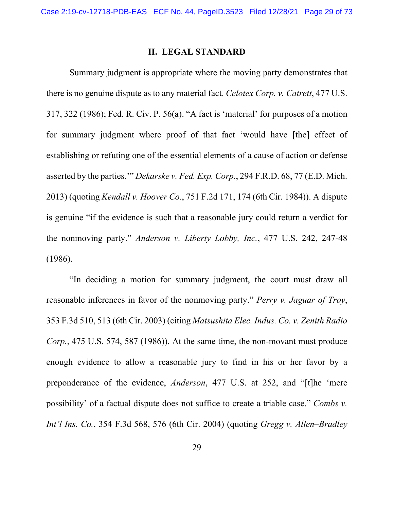## **II. LEGAL STANDARD**

Summary judgment is appropriate where the moving party demonstrates that there is no genuine dispute as to any material fact. *Celotex Corp. v. Catrett*, 477 U.S. 317, 322 (1986); Fed. R. Civ. P. 56(a). "A fact is 'material' for purposes of a motion for summary judgment where proof of that fact 'would have [the] effect of establishing or refuting one of the essential elements of a cause of action or defense asserted by the parties.'" *Dekarske v. Fed. Exp. Corp.*, 294 F.R.D. 68, 77 (E.D. Mich. 2013) (quoting *Kendall v. Hoover Co.*, 751 F.2d 171, 174 (6th Cir. 1984)). A dispute is genuine "if the evidence is such that a reasonable jury could return a verdict for the nonmoving party." *Anderson v. Liberty Lobby, Inc.*, 477 U.S. 242, 247-48 (1986).

"In deciding a motion for summary judgment, the court must draw all reasonable inferences in favor of the nonmoving party." *Perry v. Jaguar of Troy*, 353 F.3d 510, 513 (6th Cir. 2003) (citing *Matsushita Elec. Indus. Co. v. Zenith Radio Corp.*, 475 U.S. 574, 587 (1986)). At the same time, the non-movant must produce enough evidence to allow a reasonable jury to find in his or her favor by a preponderance of the evidence, *Anderson*, 477 U.S. at 252, and "[t]he 'mere possibility' of a factual dispute does not suffice to create a triable case." *Combs v. Int'l Ins. Co.*, 354 F.3d 568, 576 (6th Cir. 2004) (quoting *Gregg v. Allen–Bradley*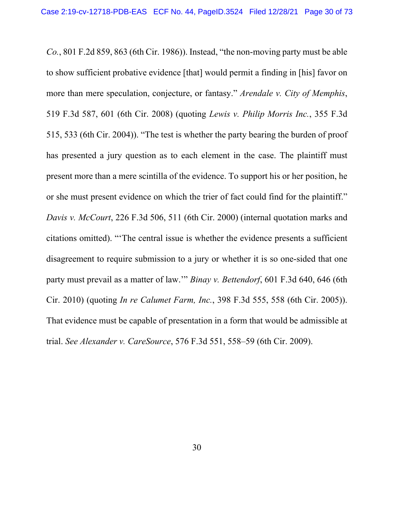*Co.*, 801 F.2d 859, 863 (6th Cir. 1986)). Instead, "the non-moving party must be able to show sufficient probative evidence [that] would permit a finding in [his] favor on more than mere speculation, conjecture, or fantasy." *Arendale v. City of Memphis*, 519 F.3d 587, 601 (6th Cir. 2008) (quoting *Lewis v. Philip Morris Inc.*, 355 F.3d 515, 533 (6th Cir. 2004)). "The test is whether the party bearing the burden of proof has presented a jury question as to each element in the case. The plaintiff must present more than a mere scintilla of the evidence. To support his or her position, he or she must present evidence on which the trier of fact could find for the plaintiff." *Davis v. McCourt*, 226 F.3d 506, 511 (6th Cir. 2000) (internal quotation marks and citations omitted). "'The central issue is whether the evidence presents a sufficient disagreement to require submission to a jury or whether it is so one-sided that one party must prevail as a matter of law.'" *Binay v. Bettendorf*, 601 F.3d 640, 646 (6th Cir. 2010) (quoting *In re Calumet Farm, Inc.*, 398 F.3d 555, 558 (6th Cir. 2005)). That evidence must be capable of presentation in a form that would be admissible at trial. *See Alexander v. CareSource*, 576 F.3d 551, 558–59 (6th Cir. 2009).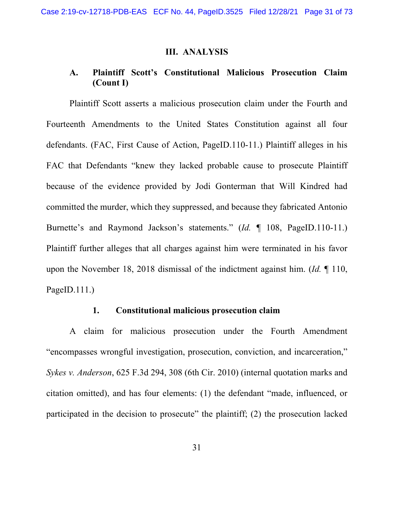## **III. ANALYSIS**

# **A. Plaintiff Scott's Constitutional Malicious Prosecution Claim (Count I)**

Plaintiff Scott asserts a malicious prosecution claim under the Fourth and Fourteenth Amendments to the United States Constitution against all four defendants. (FAC, First Cause of Action, PageID.110-11.) Plaintiff alleges in his FAC that Defendants "knew they lacked probable cause to prosecute Plaintiff because of the evidence provided by Jodi Gonterman that Will Kindred had committed the murder, which they suppressed, and because they fabricated Antonio Burnette's and Raymond Jackson's statements." (*Id.* ¶ 108, PageID.110-11.) Plaintiff further alleges that all charges against him were terminated in his favor upon the November 18, 2018 dismissal of the indictment against him. (*Id.* ¶ 110, PageID.111.)

## **1. Constitutional malicious prosecution claim**

A claim for malicious prosecution under the Fourth Amendment "encompasses wrongful investigation, prosecution, conviction, and incarceration," *Sykes v. Anderson*, 625 F.3d 294, 308 (6th Cir. 2010) (internal quotation marks and citation omitted), and has four elements: (1) the defendant "made, influenced, or participated in the decision to prosecute" the plaintiff; (2) the prosecution lacked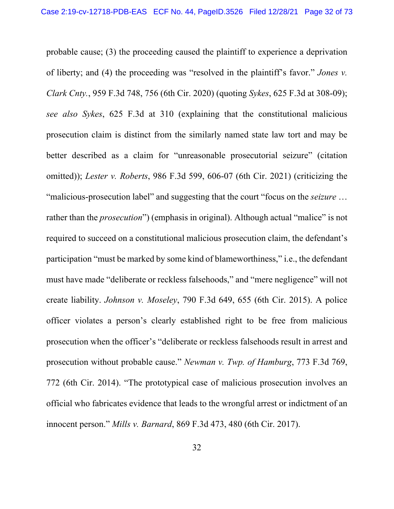probable cause; (3) the proceeding caused the plaintiff to experience a deprivation of liberty; and (4) the proceeding was "resolved in the plaintiff's favor." *Jones v. Clark Cnty.*, 959 F.3d 748, 756 (6th Cir. 2020) (quoting *Sykes*, 625 F.3d at 308-09); *see also Sykes*, 625 F.3d at 310 (explaining that the constitutional malicious prosecution claim is distinct from the similarly named state law tort and may be better described as a claim for "unreasonable prosecutorial seizure" (citation omitted)); *Lester v. Roberts*, 986 F.3d 599, 606-07 (6th Cir. 2021) (criticizing the "malicious-prosecution label" and suggesting that the court "focus on the *seizure* … rather than the *prosecution*") (emphasis in original). Although actual "malice" is not required to succeed on a constitutional malicious prosecution claim, the defendant's participation "must be marked by some kind of blameworthiness," i.e., the defendant must have made "deliberate or reckless falsehoods," and "mere negligence" will not create liability. *Johnson v. Moseley*, 790 F.3d 649, 655 (6th Cir. 2015). A police officer violates a person's clearly established right to be free from malicious prosecution when the officer's "deliberate or reckless falsehoods result in arrest and prosecution without probable cause." *Newman v. Twp. of Hamburg*, 773 F.3d 769, 772 (6th Cir. 2014). "The prototypical case of malicious prosecution involves an official who fabricates evidence that leads to the wrongful arrest or indictment of an innocent person." *Mills v. Barnard*, 869 F.3d 473, 480 (6th Cir. 2017).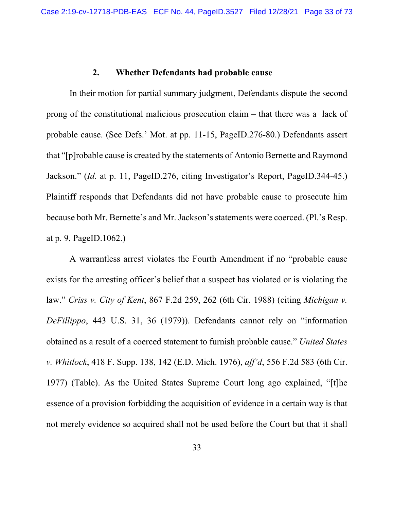#### **2. Whether Defendants had probable cause**

In their motion for partial summary judgment, Defendants dispute the second prong of the constitutional malicious prosecution claim – that there was a lack of probable cause. (See Defs.' Mot. at pp. 11-15, PageID.276-80.) Defendants assert that "[p]robable cause is created by the statements of Antonio Bernette and Raymond Jackson." (*Id.* at p. 11, PageID.276, citing Investigator's Report, PageID.344-45.) Plaintiff responds that Defendants did not have probable cause to prosecute him because both Mr. Bernette's and Mr. Jackson's statements were coerced. (Pl.'s Resp. at p. 9, PageID.1062.)

A warrantless arrest violates the Fourth Amendment if no "probable cause exists for the arresting officer's belief that a suspect has violated or is violating the law." *Criss v. City of Kent*, 867 F.2d 259, 262 (6th Cir. 1988) (citing *Michigan v. DeFillippo*, 443 U.S. 31, 36 (1979)). Defendants cannot rely on "information obtained as a result of a coerced statement to furnish probable cause." *United States v. Whitlock*, 418 F. Supp. 138, 142 (E.D. Mich. 1976), *aff'd*, 556 F.2d 583 (6th Cir. 1977) (Table). As the United States Supreme Court long ago explained, "[t]he essence of a provision forbidding the acquisition of evidence in a certain way is that not merely evidence so acquired shall not be used before the Court but that it shall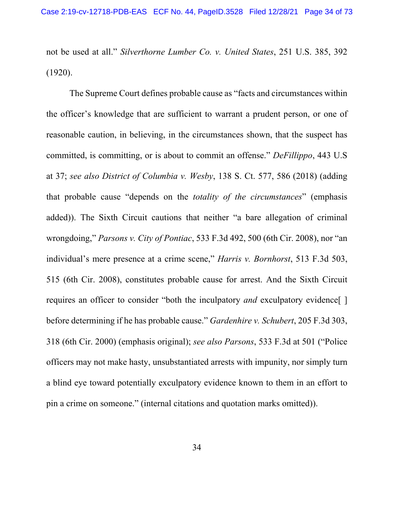not be used at all." *Silverthorne Lumber Co. v. United States*, 251 U.S. 385, 392 (1920).

The Supreme Court defines probable cause as "facts and circumstances within the officer's knowledge that are sufficient to warrant a prudent person, or one of reasonable caution, in believing, in the circumstances shown, that the suspect has committed, is committing, or is about to commit an offense." *DeFillippo*, 443 U.S at 37; *see also District of Columbia v. Wesby*, 138 S. Ct. 577, 586 (2018) (adding that probable cause "depends on the *totality of the circumstances*" (emphasis added)). The Sixth Circuit cautions that neither "a bare allegation of criminal wrongdoing," *Parsons v. City of Pontiac*, 533 F.3d 492, 500 (6th Cir. 2008), nor "an individual's mere presence at a crime scene," *Harris v. Bornhorst*, 513 F.3d 503, 515 (6th Cir. 2008), constitutes probable cause for arrest. And the Sixth Circuit requires an officer to consider "both the inculpatory *and* exculpatory evidence[ ] before determining if he has probable cause." *Gardenhire v. Schubert*, 205 F.3d 303, 318 (6th Cir. 2000) (emphasis original); *see also Parsons*, 533 F.3d at 501 ("Police officers may not make hasty, unsubstantiated arrests with impunity, nor simply turn a blind eye toward potentially exculpatory evidence known to them in an effort to pin a crime on someone." (internal citations and quotation marks omitted)).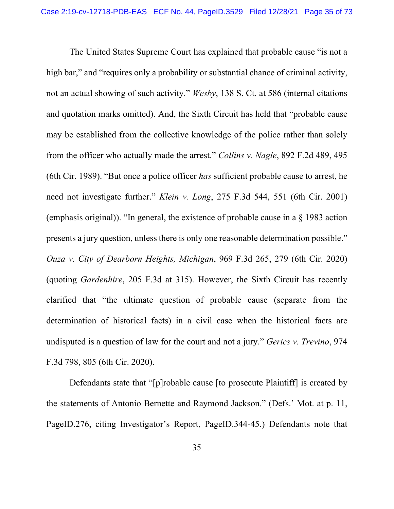The United States Supreme Court has explained that probable cause "is not a high bar," and "requires only a probability or substantial chance of criminal activity, not an actual showing of such activity." *Wesby*, 138 S. Ct. at 586 (internal citations and quotation marks omitted). And, the Sixth Circuit has held that "probable cause may be established from the collective knowledge of the police rather than solely from the officer who actually made the arrest." *Collins v. Nagle*, 892 F.2d 489, 495 (6th Cir. 1989). "But once a police officer *has* sufficient probable cause to arrest, he need not investigate further." *Klein v. Long*, 275 F.3d 544, 551 (6th Cir. 2001) (emphasis original)). "In general, the existence of probable cause in a § 1983 action presents a jury question, unless there is only one reasonable determination possible." *Ouza v. City of Dearborn Heights, Michigan*, 969 F.3d 265, 279 (6th Cir. 2020) (quoting *Gardenhire*, 205 F.3d at 315). However, the Sixth Circuit has recently clarified that "the ultimate question of probable cause (separate from the determination of historical facts) in a civil case when the historical facts are undisputed is a question of law for the court and not a jury." *Gerics v. Trevino*, 974 F.3d 798, 805 (6th Cir. 2020).

Defendants state that "[p]robable cause [to prosecute Plaintiff] is created by the statements of Antonio Bernette and Raymond Jackson." (Defs.' Mot. at p. 11, PageID.276, citing Investigator's Report, PageID.344-45.) Defendants note that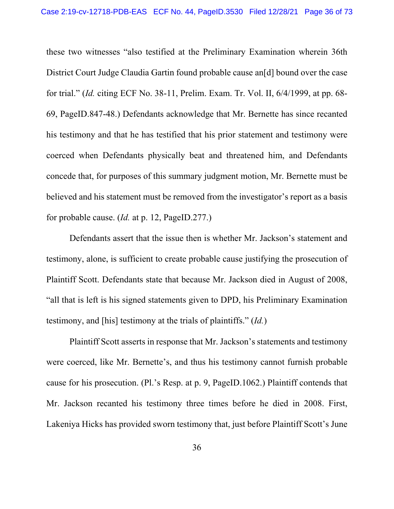these two witnesses "also testified at the Preliminary Examination wherein 36th District Court Judge Claudia Gartin found probable cause an[d] bound over the case for trial." (*Id.* citing ECF No. 38-11, Prelim. Exam. Tr. Vol. II, 6/4/1999, at pp. 68- 69, PageID.847-48.) Defendants acknowledge that Mr. Bernette has since recanted his testimony and that he has testified that his prior statement and testimony were coerced when Defendants physically beat and threatened him, and Defendants concede that, for purposes of this summary judgment motion, Mr. Bernette must be believed and his statement must be removed from the investigator's report as a basis for probable cause. (*Id.* at p. 12, PageID.277.)

Defendants assert that the issue then is whether Mr. Jackson's statement and testimony, alone, is sufficient to create probable cause justifying the prosecution of Plaintiff Scott. Defendants state that because Mr. Jackson died in August of 2008, "all that is left is his signed statements given to DPD, his Preliminary Examination testimony, and [his] testimony at the trials of plaintiffs." (*Id.*)

Plaintiff Scott asserts in response that Mr. Jackson's statements and testimony were coerced, like Mr. Bernette's, and thus his testimony cannot furnish probable cause for his prosecution. (Pl.'s Resp. at p. 9, PageID.1062.) Plaintiff contends that Mr. Jackson recanted his testimony three times before he died in 2008. First, Lakeniya Hicks has provided sworn testimony that, just before Plaintiff Scott's June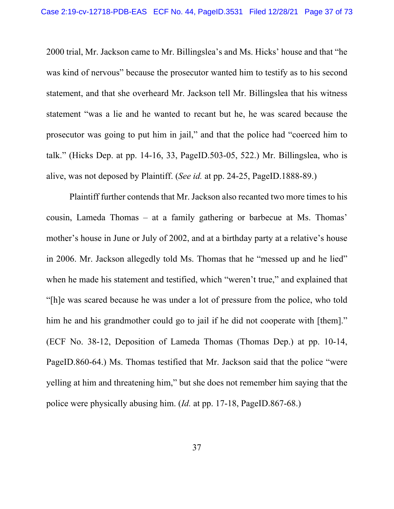2000 trial, Mr. Jackson came to Mr. Billingslea's and Ms. Hicks' house and that "he was kind of nervous" because the prosecutor wanted him to testify as to his second statement, and that she overheard Mr. Jackson tell Mr. Billingslea that his witness statement "was a lie and he wanted to recant but he, he was scared because the prosecutor was going to put him in jail," and that the police had "coerced him to talk." (Hicks Dep. at pp. 14-16, 33, PageID.503-05, 522.) Mr. Billingslea, who is alive, was not deposed by Plaintiff. (*See id.* at pp. 24-25, PageID.1888-89.)

Plaintiff further contends that Mr. Jackson also recanted two more times to his cousin, Lameda Thomas – at a family gathering or barbecue at Ms. Thomas' mother's house in June or July of 2002, and at a birthday party at a relative's house in 2006. Mr. Jackson allegedly told Ms. Thomas that he "messed up and he lied" when he made his statement and testified, which "weren't true," and explained that "[h]e was scared because he was under a lot of pressure from the police, who told him he and his grandmother could go to jail if he did not cooperate with [them]." (ECF No. 38-12, Deposition of Lameda Thomas (Thomas Dep.) at pp. 10-14, PageID.860-64.) Ms. Thomas testified that Mr. Jackson said that the police "were yelling at him and threatening him," but she does not remember him saying that the police were physically abusing him. (*Id.* at pp. 17-18, PageID.867-68.)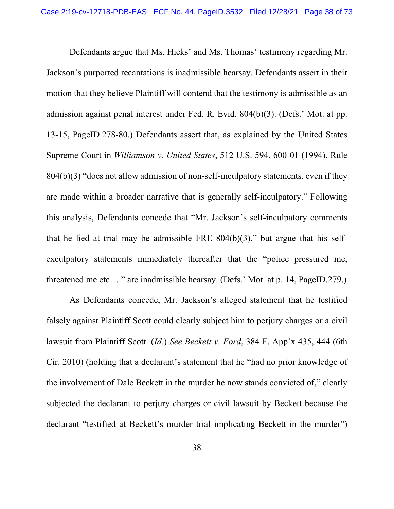Defendants argue that Ms. Hicks' and Ms. Thomas' testimony regarding Mr. Jackson's purported recantations is inadmissible hearsay. Defendants assert in their motion that they believe Plaintiff will contend that the testimony is admissible as an admission against penal interest under Fed. R. Evid. 804(b)(3). (Defs.' Mot. at pp. 13-15, PageID.278-80.) Defendants assert that, as explained by the United States Supreme Court in *Williamson v. United States*, 512 U.S. 594, 600-01 (1994), Rule 804(b)(3) "does not allow admission of non-self-inculpatory statements, even if they are made within a broader narrative that is generally self-inculpatory." Following this analysis, Defendants concede that "Mr. Jackson's self-inculpatory comments that he lied at trial may be admissible FRE  $804(b)(3)$ ," but argue that his selfexculpatory statements immediately thereafter that the "police pressured me, threatened me etc…." are inadmissible hearsay. (Defs.' Mot. at p. 14, PageID.279.)

As Defendants concede, Mr. Jackson's alleged statement that he testified falsely against Plaintiff Scott could clearly subject him to perjury charges or a civil lawsuit from Plaintiff Scott. (*Id.*) *See Beckett v. Ford*, 384 F. App'x 435, 444 (6th Cir. 2010) (holding that a declarant's statement that he "had no prior knowledge of the involvement of Dale Beckett in the murder he now stands convicted of," clearly subjected the declarant to perjury charges or civil lawsuit by Beckett because the declarant "testified at Beckett's murder trial implicating Beckett in the murder")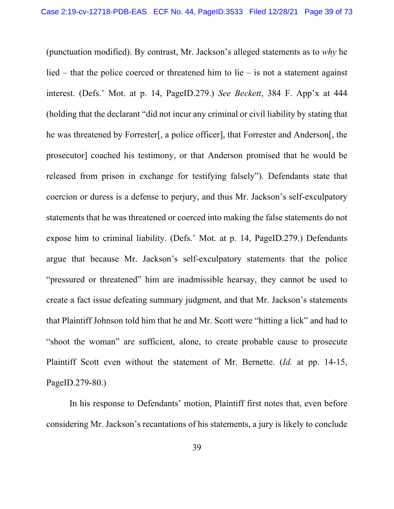(punctuation modified). By contrast, Mr. Jackson's alleged statements as to *why* he lied – that the police coerced or threatened him to lie – is not a statement against interest. (Defs.' Mot. at p. 14, PageID.279.) *See Beckett*, 384 F. App'x at 444 (holding that the declarant "did not incur any criminal or civil liability by stating that he was threatened by Forrester[, a police officer], that Forrester and Anderson[, the prosecutor] coached his testimony, or that Anderson promised that he would be released from prison in exchange for testifying falsely"). Defendants state that coercion or duress is a defense to perjury, and thus Mr. Jackson's self-exculpatory statements that he was threatened or coerced into making the false statements do not expose him to criminal liability. (Defs.' Mot. at p. 14, PageID.279.) Defendants argue that because Mr. Jackson's self-exculpatory statements that the police "pressured or threatened" him are inadmissible hearsay, they cannot be used to create a fact issue defeating summary judgment, and that Mr. Jackson's statements that Plaintiff Johnson told him that he and Mr. Scott were "hitting a lick" and had to "shoot the woman" are sufficient, alone, to create probable cause to prosecute Plaintiff Scott even without the statement of Mr. Bernette. (*Id.* at pp. 14-15, PageID.279-80.)

In his response to Defendants' motion, Plaintiff first notes that, even before considering Mr. Jackson's recantations of his statements, a jury is likely to conclude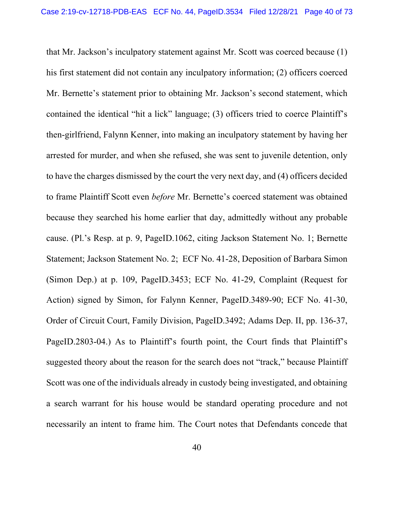that Mr. Jackson's inculpatory statement against Mr. Scott was coerced because (1) his first statement did not contain any inculpatory information; (2) officers coerced Mr. Bernette's statement prior to obtaining Mr. Jackson's second statement, which contained the identical "hit a lick" language; (3) officers tried to coerce Plaintiff's then-girlfriend, Falynn Kenner, into making an inculpatory statement by having her arrested for murder, and when she refused, she was sent to juvenile detention, only to have the charges dismissed by the court the very next day, and (4) officers decided to frame Plaintiff Scott even *before* Mr. Bernette's coerced statement was obtained because they searched his home earlier that day, admittedly without any probable cause. (Pl.'s Resp. at p. 9, PageID.1062, citing Jackson Statement No. 1; Bernette Statement; Jackson Statement No. 2; ECF No. 41-28, Deposition of Barbara Simon (Simon Dep.) at p. 109, PageID.3453; ECF No. 41-29, Complaint (Request for Action) signed by Simon, for Falynn Kenner, PageID.3489-90; ECF No. 41-30, Order of Circuit Court, Family Division, PageID.3492; Adams Dep. II, pp. 136-37, PageID.2803-04.) As to Plaintiff's fourth point, the Court finds that Plaintiff's suggested theory about the reason for the search does not "track," because Plaintiff Scott was one of the individuals already in custody being investigated, and obtaining a search warrant for his house would be standard operating procedure and not necessarily an intent to frame him. The Court notes that Defendants concede that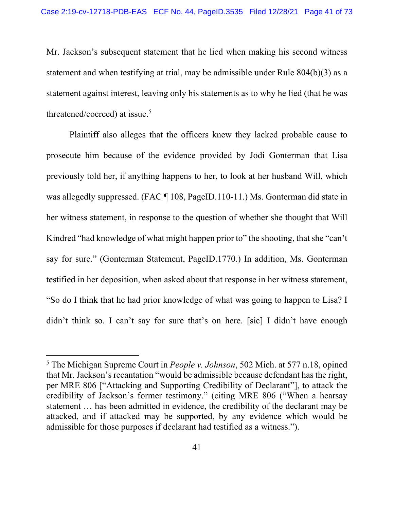Mr. Jackson's subsequent statement that he lied when making his second witness statement and when testifying at trial, may be admissible under Rule 804(b)(3) as a statement against interest, leaving only his statements as to why he lied (that he was threatened/coerced) at issue.<sup>5</sup>

Plaintiff also alleges that the officers knew they lacked probable cause to prosecute him because of the evidence provided by Jodi Gonterman that Lisa previously told her, if anything happens to her, to look at her husband Will, which was allegedly suppressed. (FAC ¶ 108, PageID.110-11.) Ms. Gonterman did state in her witness statement, in response to the question of whether she thought that Will Kindred "had knowledge of what might happen prior to" the shooting, that she "can't say for sure." (Gonterman Statement, PageID.1770.) In addition, Ms. Gonterman testified in her deposition, when asked about that response in her witness statement, "So do I think that he had prior knowledge of what was going to happen to Lisa? I didn't think so. I can't say for sure that's on here. [sic] I didn't have enough

<sup>5</sup> The Michigan Supreme Court in *People v. Johnson*, 502 Mich. at 577 n.18, opined that Mr. Jackson's recantation "would be admissible because defendant has the right, per MRE 806 ["Attacking and Supporting Credibility of Declarant"], to attack the credibility of Jackson's former testimony." (citing MRE 806 ("When a hearsay statement … has been admitted in evidence, the credibility of the declarant may be attacked, and if attacked may be supported, by any evidence which would be admissible for those purposes if declarant had testified as a witness.").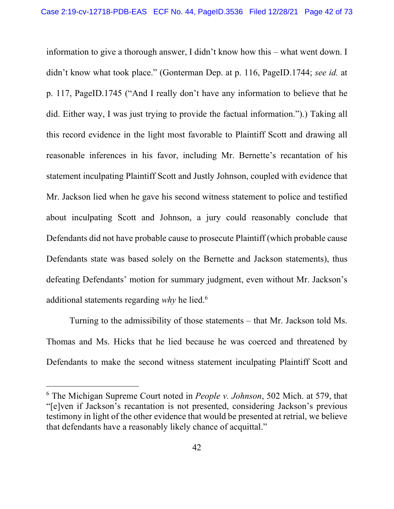information to give a thorough answer, I didn't know how this – what went down. I didn't know what took place." (Gonterman Dep. at p. 116, PageID.1744; *see id.* at p. 117, PageID.1745 ("And I really don't have any information to believe that he did. Either way, I was just trying to provide the factual information.").) Taking all this record evidence in the light most favorable to Plaintiff Scott and drawing all reasonable inferences in his favor, including Mr. Bernette's recantation of his statement inculpating Plaintiff Scott and Justly Johnson, coupled with evidence that Mr. Jackson lied when he gave his second witness statement to police and testified about inculpating Scott and Johnson, a jury could reasonably conclude that Defendants did not have probable cause to prosecute Plaintiff (which probable cause Defendants state was based solely on the Bernette and Jackson statements), thus defeating Defendants' motion for summary judgment, even without Mr. Jackson's additional statements regarding *why* he lied.6

Turning to the admissibility of those statements – that Mr. Jackson told Ms. Thomas and Ms. Hicks that he lied because he was coerced and threatened by Defendants to make the second witness statement inculpating Plaintiff Scott and

<sup>6</sup> The Michigan Supreme Court noted in *People v. Johnson*, 502 Mich. at 579, that "[e]ven if Jackson's recantation is not presented, considering Jackson's previous testimony in light of the other evidence that would be presented at retrial, we believe that defendants have a reasonably likely chance of acquittal."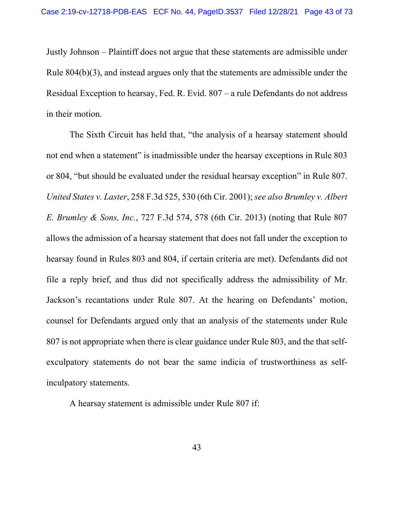Justly Johnson – Plaintiff does not argue that these statements are admissible under Rule 804(b)(3), and instead argues only that the statements are admissible under the Residual Exception to hearsay, Fed. R. Evid. 807 – a rule Defendants do not address in their motion.

The Sixth Circuit has held that, "the analysis of a hearsay statement should not end when a statement" is inadmissible under the hearsay exceptions in Rule 803 or 804, "but should be evaluated under the residual hearsay exception" in Rule 807. *United States v. Laster*, 258 F.3d 525, 530 (6th Cir. 2001); *see also Brumley v. Albert E. Brumley & Sons, Inc.*, 727 F.3d 574, 578 (6th Cir. 2013) (noting that Rule 807 allows the admission of a hearsay statement that does not fall under the exception to hearsay found in Rules 803 and 804, if certain criteria are met). Defendants did not file a reply brief, and thus did not specifically address the admissibility of Mr. Jackson's recantations under Rule 807. At the hearing on Defendants' motion, counsel for Defendants argued only that an analysis of the statements under Rule 807 is not appropriate when there is clear guidance under Rule 803, and the that selfexculpatory statements do not bear the same indicia of trustworthiness as selfinculpatory statements.

A hearsay statement is admissible under Rule 807 if: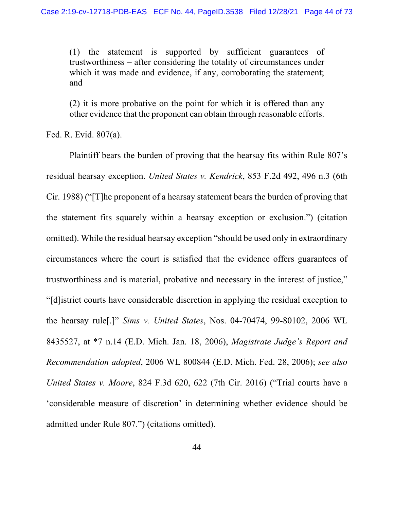(1) the statement is supported by sufficient guarantees of trustworthiness – after considering the totality of circumstances under which it was made and evidence, if any, corroborating the statement; and

(2) it is more probative on the point for which it is offered than any other evidence that the proponent can obtain through reasonable efforts.

Fed. R. Evid. 807(a).

Plaintiff bears the burden of proving that the hearsay fits within Rule 807's residual hearsay exception. *United States v. Kendrick*, 853 F.2d 492, 496 n.3 (6th Cir. 1988) ("[T]he proponent of a hearsay statement bears the burden of proving that the statement fits squarely within a hearsay exception or exclusion.") (citation omitted). While the residual hearsay exception "should be used only in extraordinary circumstances where the court is satisfied that the evidence offers guarantees of trustworthiness and is material, probative and necessary in the interest of justice," "[d]istrict courts have considerable discretion in applying the residual exception to the hearsay rule[.]" *Sims v. United States*, Nos. 04-70474, 99-80102, 2006 WL 8435527, at \*7 n.14 (E.D. Mich. Jan. 18, 2006), *Magistrate Judge's Report and Recommendation adopted*, 2006 WL 800844 (E.D. Mich. Fed. 28, 2006); *see also United States v. Moore*, 824 F.3d 620, 622 (7th Cir. 2016) ("Trial courts have a 'considerable measure of discretion' in determining whether evidence should be admitted under Rule 807.") (citations omitted).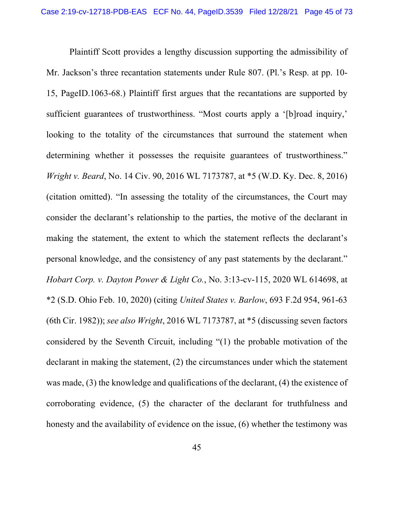Plaintiff Scott provides a lengthy discussion supporting the admissibility of Mr. Jackson's three recantation statements under Rule 807. (Pl.'s Resp. at pp. 10- 15, PageID.1063-68.) Plaintiff first argues that the recantations are supported by sufficient guarantees of trustworthiness. "Most courts apply a '[b]road inquiry,' looking to the totality of the circumstances that surround the statement when determining whether it possesses the requisite guarantees of trustworthiness." *Wright v. Beard*, No. 14 Civ. 90, 2016 WL 7173787, at \*5 (W.D. Ky. Dec. 8, 2016) (citation omitted). "In assessing the totality of the circumstances, the Court may consider the declarant's relationship to the parties, the motive of the declarant in making the statement, the extent to which the statement reflects the declarant's personal knowledge, and the consistency of any past statements by the declarant." *Hobart Corp. v. Dayton Power & Light Co.*, No. 3:13-cv-115, 2020 WL 614698, at \*2 (S.D. Ohio Feb. 10, 2020) (citing *United States v. Barlow*, 693 F.2d 954, 961-63 (6th Cir. 1982)); *see also Wright*, 2016 WL 7173787, at \*5 (discussing seven factors considered by the Seventh Circuit, including "(1) the probable motivation of the declarant in making the statement, (2) the circumstances under which the statement was made, (3) the knowledge and qualifications of the declarant, (4) the existence of corroborating evidence, (5) the character of the declarant for truthfulness and honesty and the availability of evidence on the issue, (6) whether the testimony was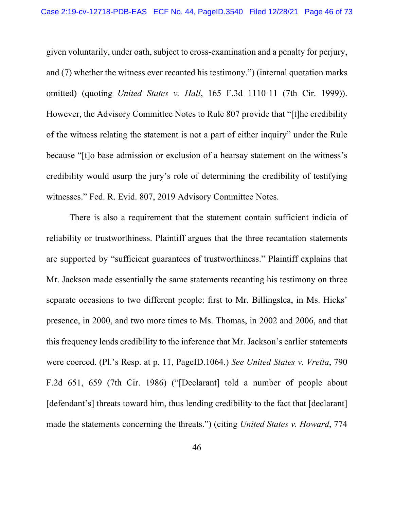given voluntarily, under oath, subject to cross-examination and a penalty for perjury, and (7) whether the witness ever recanted his testimony.") (internal quotation marks omitted) (quoting *United States v. Hall*, 165 F.3d 1110-11 (7th Cir. 1999)). However, the Advisory Committee Notes to Rule 807 provide that "[t]he credibility of the witness relating the statement is not a part of either inquiry" under the Rule because "[t]o base admission or exclusion of a hearsay statement on the witness's credibility would usurp the jury's role of determining the credibility of testifying witnesses." Fed. R. Evid. 807, 2019 Advisory Committee Notes.

 There is also a requirement that the statement contain sufficient indicia of reliability or trustworthiness. Plaintiff argues that the three recantation statements are supported by "sufficient guarantees of trustworthiness." Plaintiff explains that Mr. Jackson made essentially the same statements recanting his testimony on three separate occasions to two different people: first to Mr. Billingslea, in Ms. Hicks' presence, in 2000, and two more times to Ms. Thomas, in 2002 and 2006, and that this frequency lends credibility to the inference that Mr. Jackson's earlier statements were coerced. (Pl.'s Resp. at p. 11, PageID.1064.) *See United States v. Vretta*, 790 F.2d 651, 659 (7th Cir. 1986) ("[Declarant] told a number of people about [defendant's] threats toward him, thus lending credibility to the fact that [declarant] made the statements concerning the threats.") (citing *United States v. Howard*, 774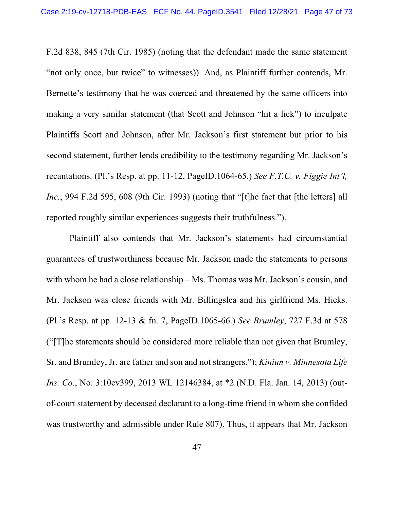F.2d 838, 845 (7th Cir. 1985) (noting that the defendant made the same statement "not only once, but twice" to witnesses)). And, as Plaintiff further contends, Mr. Bernette's testimony that he was coerced and threatened by the same officers into making a very similar statement (that Scott and Johnson "hit a lick") to inculpate Plaintiffs Scott and Johnson, after Mr. Jackson's first statement but prior to his second statement, further lends credibility to the testimony regarding Mr. Jackson's recantations. (Pl.'s Resp. at pp. 11-12, PageID.1064-65.) *See F.T.C. v. Figgie Int'l, Inc.*, 994 F.2d 595, 608 (9th Cir. 1993) (noting that "[t]he fact that [the letters] all reported roughly similar experiences suggests their truthfulness.").

 Plaintiff also contends that Mr. Jackson's statements had circumstantial guarantees of trustworthiness because Mr. Jackson made the statements to persons with whom he had a close relationship – Ms. Thomas was Mr. Jackson's cousin, and Mr. Jackson was close friends with Mr. Billingslea and his girlfriend Ms. Hicks. (Pl.'s Resp. at pp. 12-13 & fn. 7, PageID.1065-66.) *See Brumley*, 727 F.3d at 578 ("[T]he statements should be considered more reliable than not given that Brumley, Sr. and Brumley, Jr. are father and son and not strangers."); *Kiniun v. Minnesota Life Ins. Co.*, No. 3:10cv399, 2013 WL 12146384, at \*2 (N.D. Fla. Jan. 14, 2013) (outof-court statement by deceased declarant to a long-time friend in whom she confided was trustworthy and admissible under Rule 807). Thus, it appears that Mr. Jackson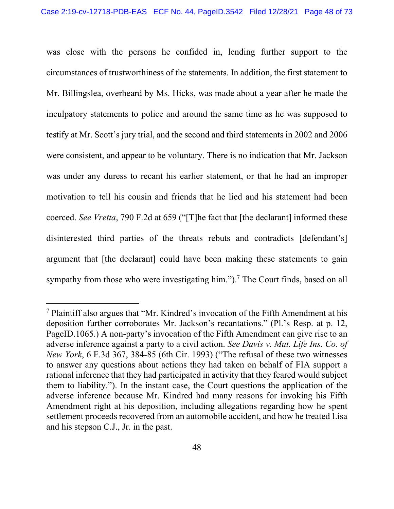was close with the persons he confided in, lending further support to the circumstances of trustworthiness of the statements. In addition, the first statement to Mr. Billingslea, overheard by Ms. Hicks, was made about a year after he made the inculpatory statements to police and around the same time as he was supposed to testify at Mr. Scott's jury trial, and the second and third statements in 2002 and 2006 were consistent, and appear to be voluntary. There is no indication that Mr. Jackson was under any duress to recant his earlier statement, or that he had an improper motivation to tell his cousin and friends that he lied and his statement had been coerced. *See Vretta*, 790 F.2d at 659 ("[T]he fact that [the declarant] informed these disinterested third parties of the threats rebuts and contradicts [defendant's] argument that [the declarant] could have been making these statements to gain sympathy from those who were investigating him." $)$ .<sup>7</sup> The Court finds, based on all

<sup>7</sup> Plaintiff also argues that "Mr. Kindred's invocation of the Fifth Amendment at his deposition further corroborates Mr. Jackson's recantations." (Pl.'s Resp. at p. 12, PageID.1065.) A non-party's invocation of the Fifth Amendment can give rise to an adverse inference against a party to a civil action. *See Davis v. Mut. Life Ins. Co. of New York*, 6 F.3d 367, 384-85 (6th Cir. 1993) ("The refusal of these two witnesses to answer any questions about actions they had taken on behalf of FIA support a rational inference that they had participated in activity that they feared would subject them to liability."). In the instant case, the Court questions the application of the adverse inference because Mr. Kindred had many reasons for invoking his Fifth Amendment right at his deposition, including allegations regarding how he spent settlement proceeds recovered from an automobile accident, and how he treated Lisa and his stepson C.J., Jr. in the past.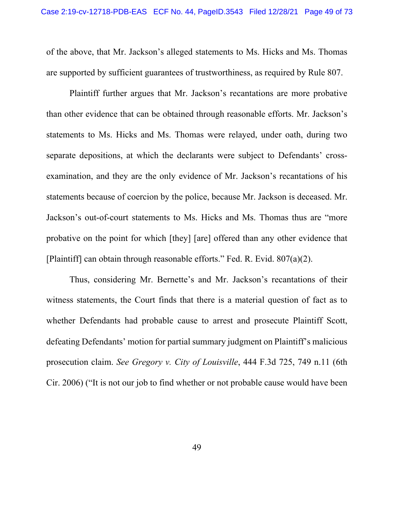of the above, that Mr. Jackson's alleged statements to Ms. Hicks and Ms. Thomas are supported by sufficient guarantees of trustworthiness, as required by Rule 807.

 Plaintiff further argues that Mr. Jackson's recantations are more probative than other evidence that can be obtained through reasonable efforts. Mr. Jackson's statements to Ms. Hicks and Ms. Thomas were relayed, under oath, during two separate depositions, at which the declarants were subject to Defendants' crossexamination, and they are the only evidence of Mr. Jackson's recantations of his statements because of coercion by the police, because Mr. Jackson is deceased. Mr. Jackson's out-of-court statements to Ms. Hicks and Ms. Thomas thus are "more probative on the point for which [they] [are] offered than any other evidence that [Plaintiff] can obtain through reasonable efforts." Fed. R. Evid. 807(a)(2).

 Thus, considering Mr. Bernette's and Mr. Jackson's recantations of their witness statements, the Court finds that there is a material question of fact as to whether Defendants had probable cause to arrest and prosecute Plaintiff Scott, defeating Defendants' motion for partial summary judgment on Plaintiff's malicious prosecution claim. *See Gregory v. City of Louisville*, 444 F.3d 725, 749 n.11 (6th Cir. 2006) ("It is not our job to find whether or not probable cause would have been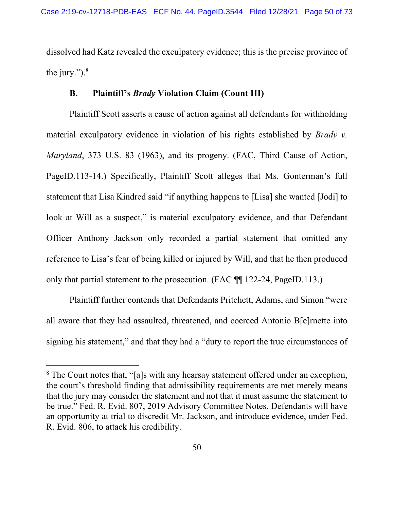dissolved had Katz revealed the exculpatory evidence; this is the precise province of the jury." $)^8$ 

## **B. Plaintiff's** *Brady* **Violation Claim (Count III)**

Plaintiff Scott asserts a cause of action against all defendants for withholding material exculpatory evidence in violation of his rights established by *Brady v. Maryland*, 373 U.S. 83 (1963), and its progeny. (FAC, Third Cause of Action, PageID.113-14.) Specifically, Plaintiff Scott alleges that Ms. Gonterman's full statement that Lisa Kindred said "if anything happens to [Lisa] she wanted [Jodi] to look at Will as a suspect," is material exculpatory evidence, and that Defendant Officer Anthony Jackson only recorded a partial statement that omitted any reference to Lisa's fear of being killed or injured by Will, and that he then produced only that partial statement to the prosecution. (FAC ¶¶ 122-24, PageID.113.)

Plaintiff further contends that Defendants Pritchett, Adams, and Simon "were all aware that they had assaulted, threatened, and coerced Antonio B[e]rnette into signing his statement," and that they had a "duty to report the true circumstances of

<sup>&</sup>lt;sup>8</sup> The Court notes that, "[a]s with any hearsay statement offered under an exception, the court's threshold finding that admissibility requirements are met merely means that the jury may consider the statement and not that it must assume the statement to be true." Fed. R. Evid. 807, 2019 Advisory Committee Notes. Defendants will have an opportunity at trial to discredit Mr. Jackson, and introduce evidence, under Fed. R. Evid. 806, to attack his credibility.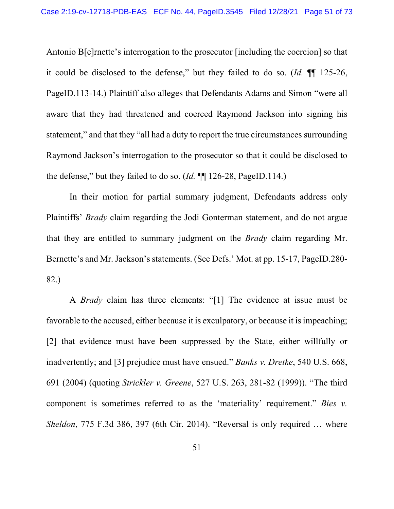Antonio B[e]rnette's interrogation to the prosecutor [including the coercion] so that it could be disclosed to the defense," but they failed to do so. (*Id.* ¶¶ 125-26, PageID.113-14.) Plaintiff also alleges that Defendants Adams and Simon "were all aware that they had threatened and coerced Raymond Jackson into signing his statement," and that they "all had a duty to report the true circumstances surrounding Raymond Jackson's interrogation to the prosecutor so that it could be disclosed to the defense," but they failed to do so. (*Id.* ¶¶ 126-28, PageID.114.)

In their motion for partial summary judgment, Defendants address only Plaintiffs' *Brady* claim regarding the Jodi Gonterman statement, and do not argue that they are entitled to summary judgment on the *Brady* claim regarding Mr. Bernette's and Mr. Jackson's statements. (See Defs.' Mot. at pp. 15-17, PageID.280- 82.)

A *Brady* claim has three elements: "[1] The evidence at issue must be favorable to the accused, either because it is exculpatory, or because it is impeaching; [2] that evidence must have been suppressed by the State, either willfully or inadvertently; and [3] prejudice must have ensued." *Banks v. Dretke*, 540 U.S. 668, 691 (2004) (quoting *Strickler v. Greene*, 527 U.S. 263, 281-82 (1999)). "The third component is sometimes referred to as the 'materiality' requirement." *Bies v. Sheldon*, 775 F.3d 386, 397 (6th Cir. 2014). "Reversal is only required … where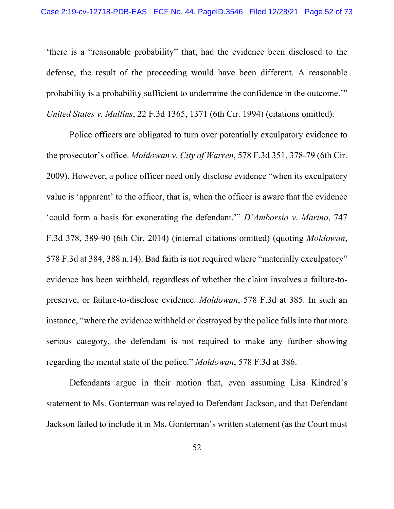'there is a "reasonable probability" that, had the evidence been disclosed to the defense, the result of the proceeding would have been different. A reasonable probability is a probability sufficient to undermine the confidence in the outcome.'" *United States v. Mullins*, 22 F.3d 1365, 1371 (6th Cir. 1994) (citations omitted).

Police officers are obligated to turn over potentially exculpatory evidence to the prosecutor's office. *Moldowan v. City of Warren*, 578 F.3d 351, 378-79 (6th Cir. 2009). However, a police officer need only disclose evidence "when its exculpatory value is 'apparent' to the officer, that is, when the officer is aware that the evidence 'could form a basis for exonerating the defendant.'" *D'Amborsio v. Marino*, 747 F.3d 378, 389-90 (6th Cir. 2014) (internal citations omitted) (quoting *Moldowan*, 578 F.3d at 384, 388 n.14). Bad faith is not required where "materially exculpatory" evidence has been withheld, regardless of whether the claim involves a failure-topreserve, or failure-to-disclose evidence. *Moldowan*, 578 F.3d at 385. In such an instance, "where the evidence withheld or destroyed by the police falls into that more serious category, the defendant is not required to make any further showing regarding the mental state of the police." *Moldowan*, 578 F.3d at 386.

Defendants argue in their motion that, even assuming Lisa Kindred's statement to Ms. Gonterman was relayed to Defendant Jackson, and that Defendant Jackson failed to include it in Ms. Gonterman's written statement (as the Court must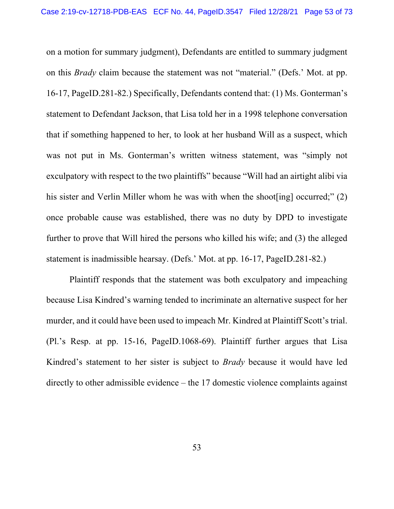on a motion for summary judgment), Defendants are entitled to summary judgment on this *Brady* claim because the statement was not "material." (Defs.' Mot. at pp. 16-17, PageID.281-82.) Specifically, Defendants contend that: (1) Ms. Gonterman's statement to Defendant Jackson, that Lisa told her in a 1998 telephone conversation that if something happened to her, to look at her husband Will as a suspect, which was not put in Ms. Gonterman's written witness statement, was "simply not exculpatory with respect to the two plaintiffs" because "Will had an airtight alibi via his sister and Verlin Miller whom he was with when the shoot [ing] occurred;" (2) once probable cause was established, there was no duty by DPD to investigate further to prove that Will hired the persons who killed his wife; and (3) the alleged statement is inadmissible hearsay. (Defs.' Mot. at pp. 16-17, PageID.281-82.)

Plaintiff responds that the statement was both exculpatory and impeaching because Lisa Kindred's warning tended to incriminate an alternative suspect for her murder, and it could have been used to impeach Mr. Kindred at Plaintiff Scott's trial. (Pl.'s Resp. at pp. 15-16, PageID.1068-69). Plaintiff further argues that Lisa Kindred's statement to her sister is subject to *Brady* because it would have led directly to other admissible evidence – the 17 domestic violence complaints against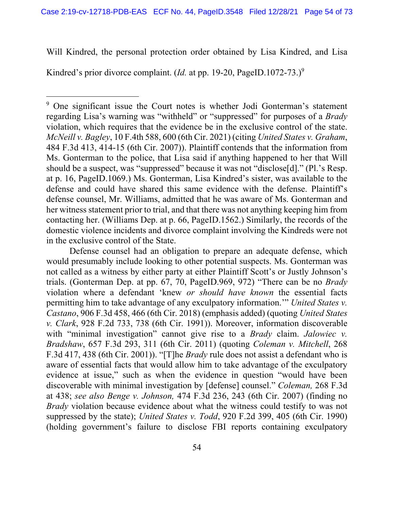Will Kindred, the personal protection order obtained by Lisa Kindred, and Lisa

Kindred's prior divorce complaint. *(Id.* at pp. 19-20, PageID.1072-73.)<sup>9</sup>

Defense counsel had an obligation to prepare an adequate defense, which would presumably include looking to other potential suspects. Ms. Gonterman was not called as a witness by either party at either Plaintiff Scott's or Justly Johnson's trials. (Gonterman Dep. at pp. 67, 70, PageID.969, 972) "There can be no *Brady* violation where a defendant 'knew *or should have known* the essential facts permitting him to take advantage of any exculpatory information.'" *United States v. Castano*, 906 F.3d 458, 466 (6th Cir. 2018) (emphasis added) (quoting *United States v. Clark*, 928 F.2d 733, 738 (6th Cir. 1991)). Moreover, information discoverable with "minimal investigation" cannot give rise to a *Brady* claim. *Jalowiec v. Bradshaw*, 657 F.3d 293, 311 (6th Cir. 2011) (quoting *Coleman v. Mitchell*, 268 F.3d 417, 438 (6th Cir. 2001)). "[T]he *Brady* rule does not assist a defendant who is aware of essential facts that would allow him to take advantage of the exculpatory evidence at issue," such as when the evidence in question "would have been discoverable with minimal investigation by [defense] counsel." *Coleman,* 268 F.3d at 438; *see also Benge v. Johnson,* 474 F.3d 236, 243 (6th Cir. 2007) (finding no *Brady* violation because evidence about what the witness could testify to was not suppressed by the state); *United States v. Todd*, 920 F.2d 399, 405 (6th Cir. 1990) (holding government's failure to disclose FBI reports containing exculpatory

<sup>&</sup>lt;sup>9</sup> One significant issue the Court notes is whether Jodi Gonterman's statement regarding Lisa's warning was "withheld" or "suppressed" for purposes of a *Brady* violation, which requires that the evidence be in the exclusive control of the state. *McNeill v. Bagley*, 10 F.4th 588, 600 (6th Cir. 2021) (citing *United States v. Graham*, 484 F.3d 413, 414-15 (6th Cir. 2007)). Plaintiff contends that the information from Ms. Gonterman to the police, that Lisa said if anything happened to her that Will should be a suspect, was "suppressed" because it was not "disclose[d]." (Pl.'s Resp. at p. 16, PageID.1069.) Ms. Gonterman, Lisa Kindred's sister, was available to the defense and could have shared this same evidence with the defense. Plaintiff's defense counsel, Mr. Williams, admitted that he was aware of Ms. Gonterman and her witness statement prior to trial, and that there was not anything keeping him from contacting her. (Williams Dep. at p. 66, PageID.1562.) Similarly, the records of the domestic violence incidents and divorce complaint involving the Kindreds were not in the exclusive control of the State.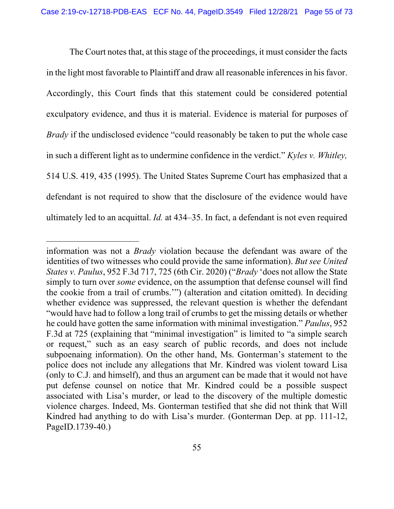The Court notes that, at this stage of the proceedings, it must consider the facts in the light most favorable to Plaintiff and draw all reasonable inferences in his favor. Accordingly, this Court finds that this statement could be considered potential exculpatory evidence, and thus it is material. Evidence is material for purposes of *Brady* if the undisclosed evidence "could reasonably be taken to put the whole case in such a different light as to undermine confidence in the verdict." *Kyles v. Whitley,* 514 U.S. 419, 435 (1995). The United States Supreme Court has emphasized that a defendant is not required to show that the disclosure of the evidence would have ultimately led to an acquittal. *Id.* at 434–35. In fact, a defendant is not even required

information was not a *Brady* violation because the defendant was aware of the identities of two witnesses who could provide the same information). *But see United States v. Paulus*, 952 F.3d 717, 725 (6th Cir. 2020) ("*Brady* 'does not allow the State simply to turn over *some* evidence, on the assumption that defense counsel will find the cookie from a trail of crumbs.'") (alteration and citation omitted). In deciding whether evidence was suppressed, the relevant question is whether the defendant "would have had to follow a long trail of crumbs to get the missing details or whether he could have gotten the same information with minimal investigation." *Paulus*, 952 F.3d at 725 (explaining that "minimal investigation" is limited to "a simple search or request," such as an easy search of public records, and does not include subpoenaing information). On the other hand, Ms. Gonterman's statement to the police does not include any allegations that Mr. Kindred was violent toward Lisa (only to C.J. and himself), and thus an argument can be made that it would not have put defense counsel on notice that Mr. Kindred could be a possible suspect associated with Lisa's murder, or lead to the discovery of the multiple domestic violence charges. Indeed, Ms. Gonterman testified that she did not think that Will Kindred had anything to do with Lisa's murder. (Gonterman Dep. at pp. 111-12, PageID.1739-40.)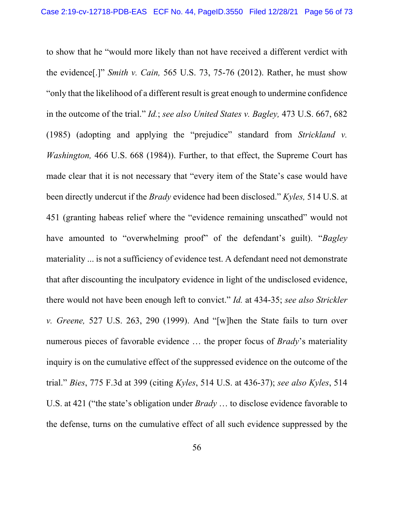to show that he "would more likely than not have received a different verdict with the evidence[.]" *Smith v. Cain,* 565 U.S. 73, 75-76 (2012). Rather, he must show "only that the likelihood of a different result is great enough to undermine confidence in the outcome of the trial." *Id.*; *see also United States v. Bagley,* 473 U.S. 667, 682 (1985) (adopting and applying the "prejudice" standard from *Strickland v. Washington,* 466 U.S. 668 (1984)). Further, to that effect, the Supreme Court has made clear that it is not necessary that "every item of the State's case would have been directly undercut if the *Brady* evidence had been disclosed." *Kyles,* 514 U.S. at 451 (granting habeas relief where the "evidence remaining unscathed" would not have amounted to "overwhelming proof" of the defendant's guilt). "*Bagley* materiality ... is not a sufficiency of evidence test. A defendant need not demonstrate that after discounting the inculpatory evidence in light of the undisclosed evidence, there would not have been enough left to convict." *Id.* at 434-35; *see also Strickler v. Greene,* 527 U.S. 263, 290 (1999). And "[w]hen the State fails to turn over numerous pieces of favorable evidence … the proper focus of *Brady*'s materiality inquiry is on the cumulative effect of the suppressed evidence on the outcome of the trial." *Bies*, 775 F.3d at 399 (citing *Kyles*, 514 U.S. at 436-37); *see also Kyles*, 514 U.S. at 421 ("the state's obligation under *Brady* … to disclose evidence favorable to the defense, turns on the cumulative effect of all such evidence suppressed by the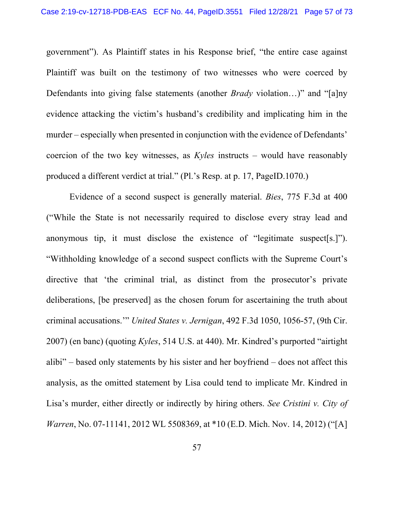government"). As Plaintiff states in his Response brief, "the entire case against Plaintiff was built on the testimony of two witnesses who were coerced by Defendants into giving false statements (another *Brady* violation…)" and "[a]ny evidence attacking the victim's husband's credibility and implicating him in the murder – especially when presented in conjunction with the evidence of Defendants' coercion of the two key witnesses, as *Kyles* instructs – would have reasonably produced a different verdict at trial." (Pl.'s Resp. at p. 17, PageID.1070.)

Evidence of a second suspect is generally material. *Bies*, 775 F.3d at 400 ("While the State is not necessarily required to disclose every stray lead and anonymous tip, it must disclose the existence of "legitimate suspect[s.]"). "Withholding knowledge of a second suspect conflicts with the Supreme Court's directive that 'the criminal trial, as distinct from the prosecutor's private deliberations, [be preserved] as the chosen forum for ascertaining the truth about criminal accusations.'" *United States v. Jernigan*, 492 F.3d 1050, 1056-57, (9th Cir. 2007) (en banc) (quoting *Kyles*, 514 U.S. at 440). Mr. Kindred's purported "airtight alibi" – based only statements by his sister and her boyfriend – does not affect this analysis, as the omitted statement by Lisa could tend to implicate Mr. Kindred in Lisa's murder, either directly or indirectly by hiring others. *See Cristini v. City of Warren*, No. 07-11141, 2012 WL 5508369, at \*10 (E.D. Mich. Nov. 14, 2012) ("[A]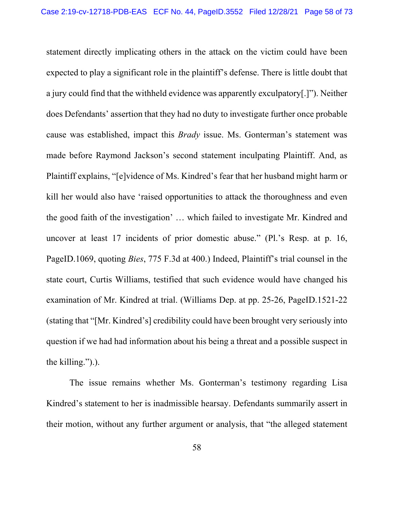statement directly implicating others in the attack on the victim could have been expected to play a significant role in the plaintiff's defense. There is little doubt that a jury could find that the withheld evidence was apparently exculpatory[.]"). Neither does Defendants' assertion that they had no duty to investigate further once probable cause was established, impact this *Brady* issue. Ms. Gonterman's statement was made before Raymond Jackson's second statement inculpating Plaintiff. And, as Plaintiff explains, "[e]vidence of Ms. Kindred's fear that her husband might harm or kill her would also have 'raised opportunities to attack the thoroughness and even the good faith of the investigation' … which failed to investigate Mr. Kindred and uncover at least 17 incidents of prior domestic abuse." (Pl.'s Resp. at p. 16, PageID.1069, quoting *Bies*, 775 F.3d at 400.) Indeed, Plaintiff's trial counsel in the state court, Curtis Williams, testified that such evidence would have changed his examination of Mr. Kindred at trial. (Williams Dep. at pp. 25-26, PageID.1521-22 (stating that "[Mr. Kindred's] credibility could have been brought very seriously into question if we had had information about his being a threat and a possible suspect in the killing.").).

The issue remains whether Ms. Gonterman's testimony regarding Lisa Kindred's statement to her is inadmissible hearsay. Defendants summarily assert in their motion, without any further argument or analysis, that "the alleged statement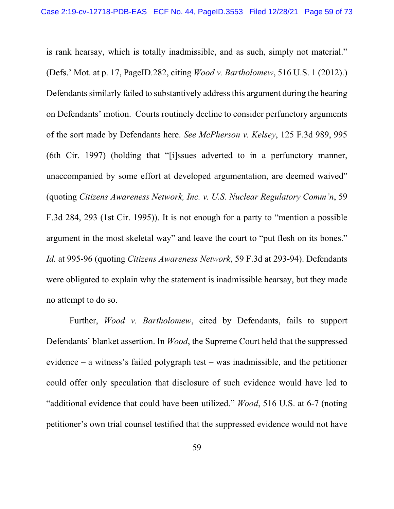is rank hearsay, which is totally inadmissible, and as such, simply not material." (Defs.' Mot. at p. 17, PageID.282, citing *Wood v. Bartholomew*, 516 U.S. 1 (2012).) Defendants similarly failed to substantively address this argument during the hearing on Defendants' motion. Courts routinely decline to consider perfunctory arguments of the sort made by Defendants here. *See McPherson v. Kelsey*, 125 F.3d 989, 995 (6th Cir. 1997) (holding that "[i]ssues adverted to in a perfunctory manner, unaccompanied by some effort at developed argumentation, are deemed waived" (quoting *Citizens Awareness Network, Inc. v. U.S. Nuclear Regulatory Comm'n*, 59 F.3d 284, 293 (1st Cir. 1995)). It is not enough for a party to "mention a possible argument in the most skeletal way" and leave the court to "put flesh on its bones." *Id.* at 995-96 (quoting *Citizens Awareness Network*, 59 F.3d at 293-94). Defendants were obligated to explain why the statement is inadmissible hearsay, but they made no attempt to do so.

Further, *Wood v. Bartholomew*, cited by Defendants, fails to support Defendants' blanket assertion. In *Wood*, the Supreme Court held that the suppressed evidence – a witness's failed polygraph test – was inadmissible, and the petitioner could offer only speculation that disclosure of such evidence would have led to "additional evidence that could have been utilized." *Wood*, 516 U.S. at 6-7 (noting petitioner's own trial counsel testified that the suppressed evidence would not have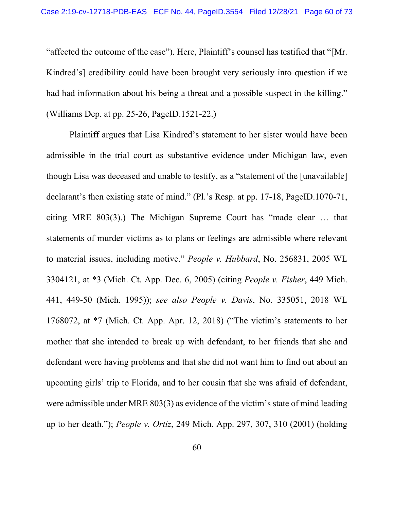"affected the outcome of the case"). Here, Plaintiff's counsel has testified that "[Mr. Kindred's] credibility could have been brought very seriously into question if we had had information about his being a threat and a possible suspect in the killing." (Williams Dep. at pp. 25-26, PageID.1521-22.)

Plaintiff argues that Lisa Kindred's statement to her sister would have been admissible in the trial court as substantive evidence under Michigan law, even though Lisa was deceased and unable to testify, as a "statement of the [unavailable] declarant's then existing state of mind." (Pl.'s Resp. at pp. 17-18, PageID.1070-71, citing MRE 803(3).) The Michigan Supreme Court has "made clear … that statements of murder victims as to plans or feelings are admissible where relevant to material issues, including motive." *People v. Hubbard*, No. 256831, 2005 WL 3304121, at \*3 (Mich. Ct. App. Dec. 6, 2005) (citing *People v. Fisher*, 449 Mich. 441, 449-50 (Mich. 1995)); *see also People v. Davis*, No. 335051, 2018 WL 1768072, at \*7 (Mich. Ct. App. Apr. 12, 2018) ("The victim's statements to her mother that she intended to break up with defendant, to her friends that she and defendant were having problems and that she did not want him to find out about an upcoming girls' trip to Florida, and to her cousin that she was afraid of defendant, were admissible under MRE 803(3) as evidence of the victim's state of mind leading up to her death."); *People v. Ortiz*, 249 Mich. App. 297, 307, 310 (2001) (holding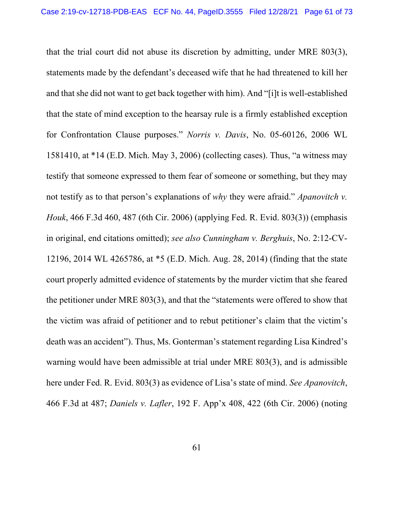that the trial court did not abuse its discretion by admitting, under MRE 803(3), statements made by the defendant's deceased wife that he had threatened to kill her and that she did not want to get back together with him). And "[i]t is well-established that the state of mind exception to the hearsay rule is a firmly established exception for Confrontation Clause purposes." *Norris v. Davis*, No. 05-60126, 2006 WL 1581410, at \*14 (E.D. Mich. May 3, 2006) (collecting cases). Thus, "a witness may testify that someone expressed to them fear of someone or something, but they may not testify as to that person's explanations of *why* they were afraid." *Apanovitch v. Houk*, 466 F.3d 460, 487 (6th Cir. 2006) (applying Fed. R. Evid. 803(3)) (emphasis in original, end citations omitted); *see also Cunningham v. Berghuis*, No. 2:12-CV-12196, 2014 WL 4265786, at \*5 (E.D. Mich. Aug. 28, 2014) (finding that the state court properly admitted evidence of statements by the murder victim that she feared the petitioner under MRE 803(3), and that the "statements were offered to show that the victim was afraid of petitioner and to rebut petitioner's claim that the victim's death was an accident"). Thus, Ms. Gonterman's statement regarding Lisa Kindred's warning would have been admissible at trial under MRE 803(3), and is admissible here under Fed. R. Evid. 803(3) as evidence of Lisa's state of mind. *See Apanovitch*, 466 F.3d at 487; *Daniels v. Lafler*, 192 F. App'x 408, 422 (6th Cir. 2006) (noting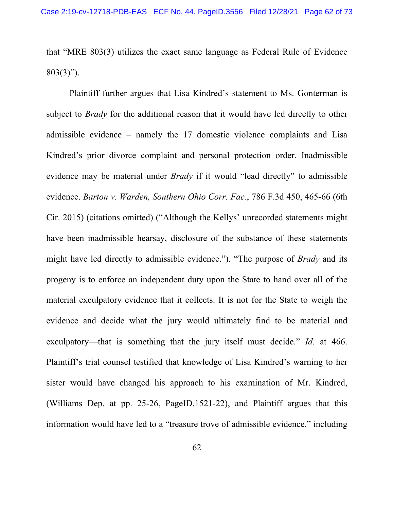that "MRE 803(3) utilizes the exact same language as Federal Rule of Evidence 803(3)").

Plaintiff further argues that Lisa Kindred's statement to Ms. Gonterman is subject to *Brady* for the additional reason that it would have led directly to other admissible evidence – namely the 17 domestic violence complaints and Lisa Kindred's prior divorce complaint and personal protection order. Inadmissible evidence may be material under *Brady* if it would "lead directly" to admissible evidence. *Barton v. Warden, Southern Ohio Corr. Fac.*, 786 F.3d 450, 465-66 (6th Cir. 2015) (citations omitted) ("Although the Kellys' unrecorded statements might have been inadmissible hearsay, disclosure of the substance of these statements might have led directly to admissible evidence."). "The purpose of *Brady* and its progeny is to enforce an independent duty upon the State to hand over all of the material exculpatory evidence that it collects. It is not for the State to weigh the evidence and decide what the jury would ultimately find to be material and exculpatory—that is something that the jury itself must decide." *Id.* at 466. Plaintiff's trial counsel testified that knowledge of Lisa Kindred's warning to her sister would have changed his approach to his examination of Mr. Kindred, (Williams Dep. at pp. 25-26, PageID.1521-22), and Plaintiff argues that this information would have led to a "treasure trove of admissible evidence," including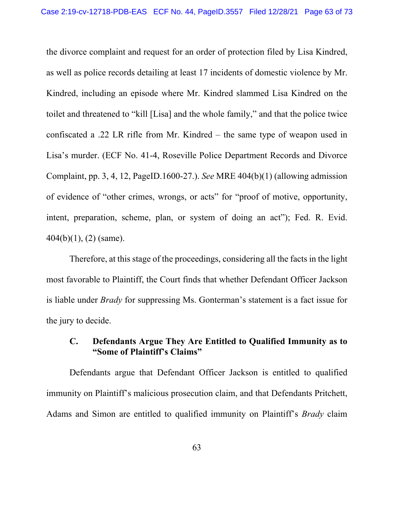the divorce complaint and request for an order of protection filed by Lisa Kindred, as well as police records detailing at least 17 incidents of domestic violence by Mr. Kindred, including an episode where Mr. Kindred slammed Lisa Kindred on the toilet and threatened to "kill [Lisa] and the whole family," and that the police twice confiscated a .22 LR rifle from Mr. Kindred – the same type of weapon used in Lisa's murder. (ECF No. 41-4, Roseville Police Department Records and Divorce Complaint, pp. 3, 4, 12, PageID.1600-27.). *See* MRE 404(b)(1) (allowing admission of evidence of "other crimes, wrongs, or acts" for "proof of motive, opportunity, intent, preparation, scheme, plan, or system of doing an act"); Fed. R. Evid. 404(b)(1), (2) (same).

Therefore, at this stage of the proceedings, considering all the facts in the light most favorable to Plaintiff, the Court finds that whether Defendant Officer Jackson is liable under *Brady* for suppressing Ms. Gonterman's statement is a fact issue for the jury to decide.

## **C. Defendants Argue They Are Entitled to Qualified Immunity as to "Some of Plaintiff's Claims"**

Defendants argue that Defendant Officer Jackson is entitled to qualified immunity on Plaintiff's malicious prosecution claim, and that Defendants Pritchett, Adams and Simon are entitled to qualified immunity on Plaintiff's *Brady* claim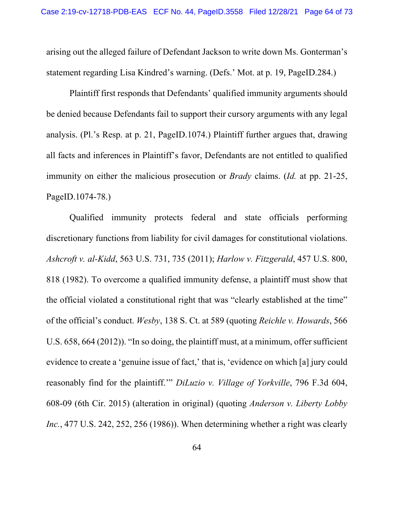arising out the alleged failure of Defendant Jackson to write down Ms. Gonterman's statement regarding Lisa Kindred's warning. (Defs.' Mot. at p. 19, PageID.284.)

Plaintiff first responds that Defendants' qualified immunity arguments should be denied because Defendants fail to support their cursory arguments with any legal analysis. (Pl.'s Resp. at p. 21, PageID.1074.) Plaintiff further argues that, drawing all facts and inferences in Plaintiff's favor, Defendants are not entitled to qualified immunity on either the malicious prosecution or *Brady* claims. (*Id.* at pp. 21-25, PageID.1074-78.)

Qualified immunity protects federal and state officials performing discretionary functions from liability for civil damages for constitutional violations. *Ashcroft v. al-Kidd*, 563 U.S. 731, 735 (2011); *Harlow v. Fitzgerald*, 457 U.S. 800, 818 (1982). To overcome a qualified immunity defense, a plaintiff must show that the official violated a constitutional right that was "clearly established at the time" of the official's conduct. *Wesby*, 138 S. Ct. at 589 (quoting *Reichle v. Howards*, 566 U.S. 658, 664 (2012)). "In so doing, the plaintiff must, at a minimum, offer sufficient evidence to create a 'genuine issue of fact,' that is, 'evidence on which [a] jury could reasonably find for the plaintiff.'" *DiLuzio v. Village of Yorkville*, 796 F.3d 604, 608-09 (6th Cir. 2015) (alteration in original) (quoting *Anderson v. Liberty Lobby Inc.*, 477 U.S. 242, 252, 256 (1986)). When determining whether a right was clearly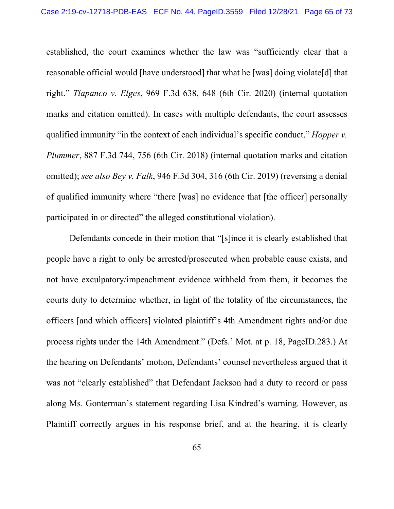established, the court examines whether the law was "sufficiently clear that a reasonable official would [have understood] that what he [was] doing violate[d] that right." *Tlapanco v. Elges*, 969 F.3d 638, 648 (6th Cir. 2020) (internal quotation marks and citation omitted). In cases with multiple defendants, the court assesses qualified immunity "in the context of each individual's specific conduct." *Hopper v. Plummer*, 887 F.3d 744, 756 (6th Cir. 2018) (internal quotation marks and citation omitted); *see also Bey v. Falk*, 946 F.3d 304, 316 (6th Cir. 2019) (reversing a denial of qualified immunity where "there [was] no evidence that [the officer] personally participated in or directed" the alleged constitutional violation).

Defendants concede in their motion that "[s]ince it is clearly established that people have a right to only be arrested/prosecuted when probable cause exists, and not have exculpatory/impeachment evidence withheld from them, it becomes the courts duty to determine whether, in light of the totality of the circumstances, the officers [and which officers] violated plaintiff's 4th Amendment rights and/or due process rights under the 14th Amendment." (Defs.' Mot. at p. 18, PageID.283.) At the hearing on Defendants' motion, Defendants' counsel nevertheless argued that it was not "clearly established" that Defendant Jackson had a duty to record or pass along Ms. Gonterman's statement regarding Lisa Kindred's warning. However, as Plaintiff correctly argues in his response brief, and at the hearing, it is clearly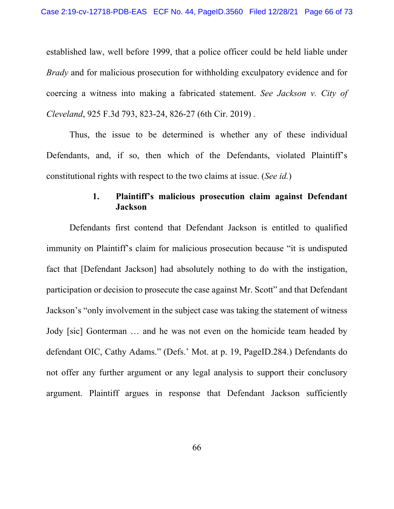established law, well before 1999, that a police officer could be held liable under *Brady* and for malicious prosecution for withholding exculpatory evidence and for coercing a witness into making a fabricated statement. *See Jackson v. City of Cleveland*, 925 F.3d 793, 823-24, 826-27 (6th Cir. 2019) *.* 

Thus, the issue to be determined is whether any of these individual Defendants, and, if so, then which of the Defendants, violated Plaintiff's constitutional rights with respect to the two claims at issue. (*See id.*)

## **1. Plaintiff's malicious prosecution claim against Defendant Jackson**

 Defendants first contend that Defendant Jackson is entitled to qualified immunity on Plaintiff's claim for malicious prosecution because "it is undisputed fact that [Defendant Jackson] had absolutely nothing to do with the instigation, participation or decision to prosecute the case against Mr. Scott" and that Defendant Jackson's "only involvement in the subject case was taking the statement of witness Jody [sic] Gonterman … and he was not even on the homicide team headed by defendant OIC, Cathy Adams." (Defs.' Mot. at p. 19, PageID.284.) Defendants do not offer any further argument or any legal analysis to support their conclusory argument. Plaintiff argues in response that Defendant Jackson sufficiently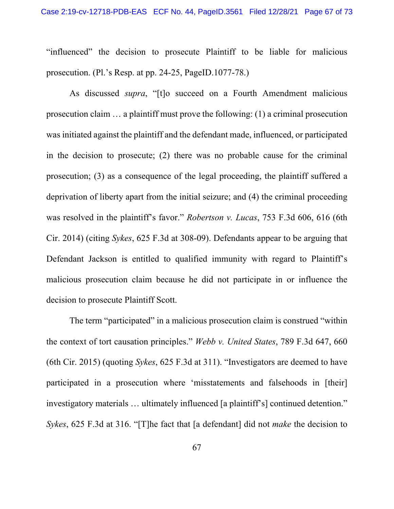"influenced" the decision to prosecute Plaintiff to be liable for malicious prosecution. (Pl.'s Resp. at pp. 24-25, PageID.1077-78.)

 As discussed *supra*, "[t]o succeed on a Fourth Amendment malicious prosecution claim … a plaintiff must prove the following: (1) a criminal prosecution was initiated against the plaintiff and the defendant made, influenced, or participated in the decision to prosecute; (2) there was no probable cause for the criminal prosecution; (3) as a consequence of the legal proceeding, the plaintiff suffered a deprivation of liberty apart from the initial seizure; and (4) the criminal proceeding was resolved in the plaintiff's favor." *Robertson v. Lucas*, 753 F.3d 606, 616 (6th Cir. 2014) (citing *Sykes*, 625 F.3d at 308-09). Defendants appear to be arguing that Defendant Jackson is entitled to qualified immunity with regard to Plaintiff's malicious prosecution claim because he did not participate in or influence the decision to prosecute Plaintiff Scott.

 The term "participated" in a malicious prosecution claim is construed "within the context of tort causation principles." *Webb v. United States*, 789 F.3d 647, 660 (6th Cir. 2015) (quoting *Sykes*, 625 F.3d at 311). "Investigators are deemed to have participated in a prosecution where 'misstatements and falsehoods in [their] investigatory materials … ultimately influenced [a plaintiff's] continued detention." *Sykes*, 625 F.3d at 316. "[T]he fact that [a defendant] did not *make* the decision to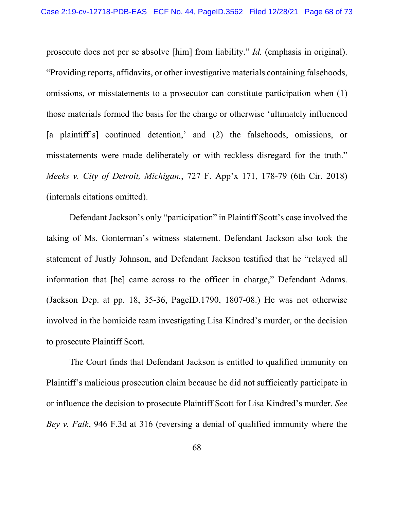prosecute does not per se absolve [him] from liability." *Id.* (emphasis in original). "Providing reports, affidavits, or other investigative materials containing falsehoods, omissions, or misstatements to a prosecutor can constitute participation when (1) those materials formed the basis for the charge or otherwise 'ultimately influenced [a plaintiff's] continued detention,' and (2) the falsehoods, omissions, or misstatements were made deliberately or with reckless disregard for the truth." *Meeks v. City of Detroit, Michigan.*, 727 F. App'x 171, 178-79 (6th Cir. 2018) (internals citations omitted).

 Defendant Jackson's only "participation" in Plaintiff Scott's case involved the taking of Ms. Gonterman's witness statement. Defendant Jackson also took the statement of Justly Johnson, and Defendant Jackson testified that he "relayed all information that [he] came across to the officer in charge," Defendant Adams. (Jackson Dep. at pp. 18, 35-36, PageID.1790, 1807-08.) He was not otherwise involved in the homicide team investigating Lisa Kindred's murder, or the decision to prosecute Plaintiff Scott.

The Court finds that Defendant Jackson is entitled to qualified immunity on Plaintiff's malicious prosecution claim because he did not sufficiently participate in or influence the decision to prosecute Plaintiff Scott for Lisa Kindred's murder. *See Bey v. Falk*, 946 F.3d at 316 (reversing a denial of qualified immunity where the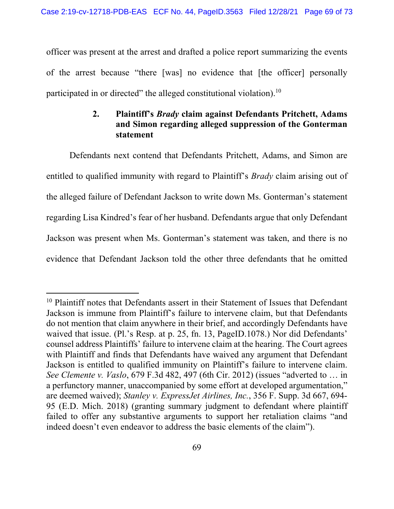officer was present at the arrest and drafted a police report summarizing the events of the arrest because "there [was] no evidence that [the officer] personally participated in or directed" the alleged constitutional violation).10

## **2. Plaintiff's** *Brady* **claim against Defendants Pritchett, Adams and Simon regarding alleged suppression of the Gonterman statement**

Defendants next contend that Defendants Pritchett, Adams, and Simon are entitled to qualified immunity with regard to Plaintiff's *Brady* claim arising out of the alleged failure of Defendant Jackson to write down Ms. Gonterman's statement regarding Lisa Kindred's fear of her husband. Defendants argue that only Defendant Jackson was present when Ms. Gonterman's statement was taken, and there is no evidence that Defendant Jackson told the other three defendants that he omitted

<sup>&</sup>lt;sup>10</sup> Plaintiff notes that Defendants assert in their Statement of Issues that Defendant Jackson is immune from Plaintiff's failure to intervene claim, but that Defendants do not mention that claim anywhere in their brief, and accordingly Defendants have waived that issue. (Pl.'s Resp. at p. 25, fn. 13, PageID.1078.) Nor did Defendants' counsel address Plaintiffs' failure to intervene claim at the hearing. The Court agrees with Plaintiff and finds that Defendants have waived any argument that Defendant Jackson is entitled to qualified immunity on Plaintiff's failure to intervene claim. *See Clemente v. Vaslo*, 679 F.3d 482, 497 (6th Cir. 2012) (issues "adverted to … in a perfunctory manner, unaccompanied by some effort at developed argumentation," are deemed waived); *Stanley v. ExpressJet Airlines, Inc.*, 356 F. Supp. 3d 667, 694- 95 (E.D. Mich. 2018) (granting summary judgment to defendant where plaintiff failed to offer any substantive arguments to support her retaliation claims "and indeed doesn't even endeavor to address the basic elements of the claim").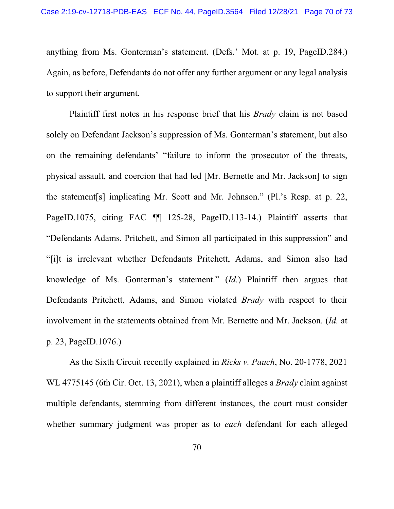anything from Ms. Gonterman's statement. (Defs.' Mot. at p. 19, PageID.284.) Again, as before, Defendants do not offer any further argument or any legal analysis to support their argument.

Plaintiff first notes in his response brief that his *Brady* claim is not based solely on Defendant Jackson's suppression of Ms. Gonterman's statement, but also on the remaining defendants' "failure to inform the prosecutor of the threats, physical assault, and coercion that had led [Mr. Bernette and Mr. Jackson] to sign the statement[s] implicating Mr. Scott and Mr. Johnson." (Pl.'s Resp. at p. 22, PageID.1075, citing FAC  $\P$  125-28, PageID.113-14.) Plaintiff asserts that "Defendants Adams, Pritchett, and Simon all participated in this suppression" and "[i]t is irrelevant whether Defendants Pritchett, Adams, and Simon also had knowledge of Ms. Gonterman's statement." (*Id.*) Plaintiff then argues that Defendants Pritchett, Adams, and Simon violated *Brady* with respect to their involvement in the statements obtained from Mr. Bernette and Mr. Jackson. (*Id.* at p. 23, PageID.1076.)

As the Sixth Circuit recently explained in *Ricks v. Pauch*, No. 20-1778, 2021 WL 4775145 (6th Cir. Oct. 13, 2021), when a plaintiff alleges a *Brady* claim against multiple defendants, stemming from different instances, the court must consider whether summary judgment was proper as to *each* defendant for each alleged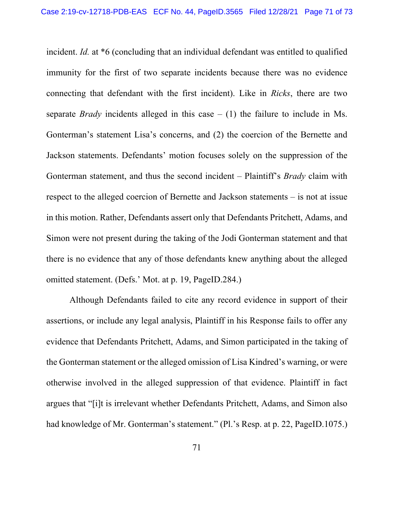incident. *Id.* at \*6 (concluding that an individual defendant was entitled to qualified immunity for the first of two separate incidents because there was no evidence connecting that defendant with the first incident). Like in *Ricks*, there are two separate *Brady* incidents alleged in this case  $- (1)$  the failure to include in Ms. Gonterman's statement Lisa's concerns, and (2) the coercion of the Bernette and Jackson statements. Defendants' motion focuses solely on the suppression of the Gonterman statement, and thus the second incident – Plaintiff's *Brady* claim with respect to the alleged coercion of Bernette and Jackson statements – is not at issue in this motion. Rather, Defendants assert only that Defendants Pritchett, Adams, and Simon were not present during the taking of the Jodi Gonterman statement and that there is no evidence that any of those defendants knew anything about the alleged omitted statement. (Defs.' Mot. at p. 19, PageID.284.)

Although Defendants failed to cite any record evidence in support of their assertions, or include any legal analysis, Plaintiff in his Response fails to offer any evidence that Defendants Pritchett, Adams, and Simon participated in the taking of the Gonterman statement or the alleged omission of Lisa Kindred's warning, or were otherwise involved in the alleged suppression of that evidence. Plaintiff in fact argues that "[i]t is irrelevant whether Defendants Pritchett, Adams, and Simon also had knowledge of Mr. Gonterman's statement." (Pl.'s Resp. at p. 22, PageID.1075.)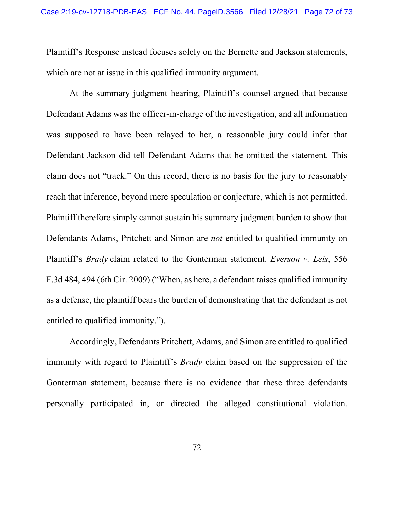Plaintiff's Response instead focuses solely on the Bernette and Jackson statements, which are not at issue in this qualified immunity argument.

At the summary judgment hearing, Plaintiff's counsel argued that because Defendant Adams was the officer-in-charge of the investigation, and all information was supposed to have been relayed to her, a reasonable jury could infer that Defendant Jackson did tell Defendant Adams that he omitted the statement. This claim does not "track." On this record, there is no basis for the jury to reasonably reach that inference, beyond mere speculation or conjecture, which is not permitted. Plaintiff therefore simply cannot sustain his summary judgment burden to show that Defendants Adams, Pritchett and Simon are *not* entitled to qualified immunity on Plaintiff's *Brady* claim related to the Gonterman statement. *Everson v. Leis*, 556 F.3d 484, 494 (6th Cir. 2009) ("When, as here, a defendant raises qualified immunity as a defense, the plaintiff bears the burden of demonstrating that the defendant is not entitled to qualified immunity.").

Accordingly, Defendants Pritchett, Adams, and Simon are entitled to qualified immunity with regard to Plaintiff's *Brady* claim based on the suppression of the Gonterman statement, because there is no evidence that these three defendants personally participated in, or directed the alleged constitutional violation.